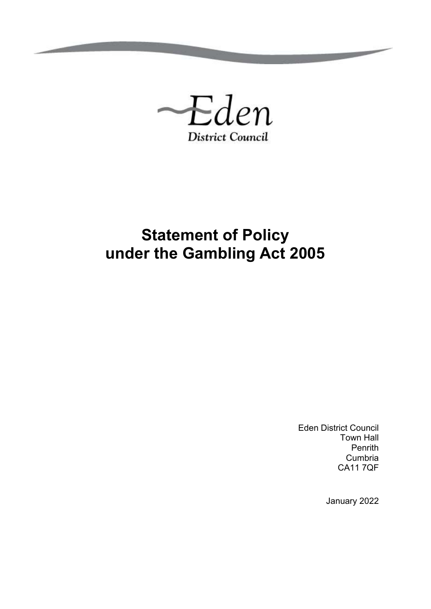

# **Statement of Policy under the Gambling Act 2005**

Eden District Council Town Hall Penrith Cumbria CA11 7QF

January 2022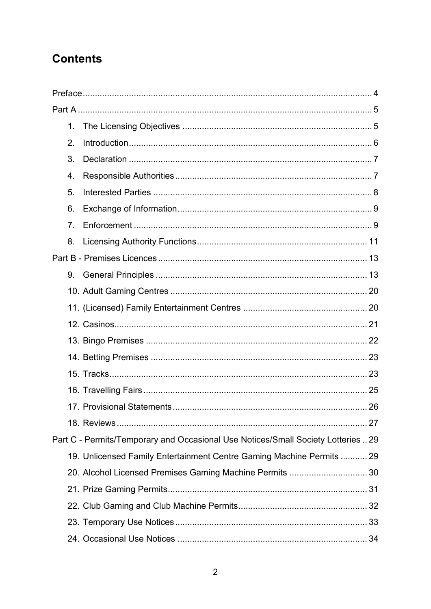## **Contents**

| 1.             |                                                                                   |  |
|----------------|-----------------------------------------------------------------------------------|--|
| 2.             |                                                                                   |  |
| 3.             |                                                                                   |  |
| 4.             |                                                                                   |  |
| 5.             |                                                                                   |  |
| 6.             |                                                                                   |  |
| 7 <sub>1</sub> |                                                                                   |  |
| 8.             |                                                                                   |  |
|                |                                                                                   |  |
| 9.             |                                                                                   |  |
|                |                                                                                   |  |
|                |                                                                                   |  |
|                |                                                                                   |  |
|                |                                                                                   |  |
|                |                                                                                   |  |
|                |                                                                                   |  |
|                |                                                                                   |  |
|                |                                                                                   |  |
|                |                                                                                   |  |
|                | Part C - Permits/Temporary and Occasional Use Notices/Small Society Lotteries  29 |  |
|                | 19. Unlicensed Family Entertainment Centre Gaming Machine Permits  29             |  |
|                | 20. Alcohol Licensed Premises Gaming Machine Permits  30                          |  |
|                |                                                                                   |  |
|                |                                                                                   |  |
|                |                                                                                   |  |
|                |                                                                                   |  |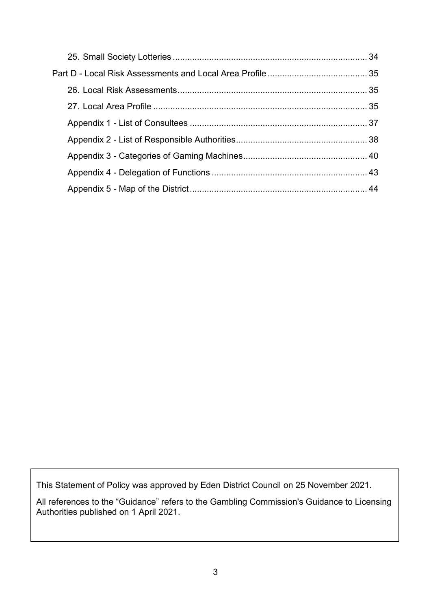This Statement of Policy was approved by Eden District Council on 25 November 2021.

All references to the "Guidance" refers to the Gambling Commission's Guidance to Licensing Authorities published on 1 April 2021.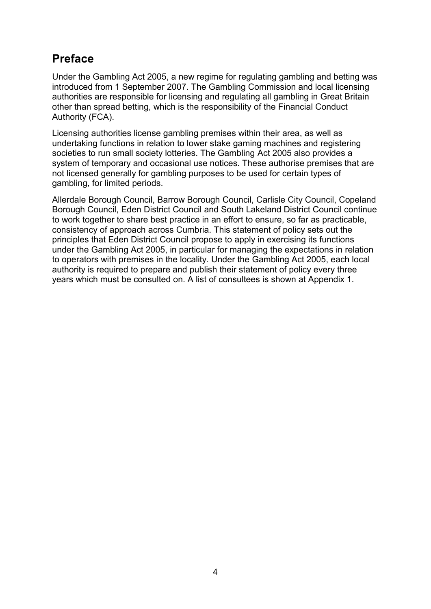## <span id="page-3-0"></span>**Preface**

Under the Gambling Act 2005, a new regime for regulating gambling and betting was introduced from 1 September 2007. The Gambling Commission and local licensing authorities are responsible for licensing and regulating all gambling in Great Britain other than spread betting, which is the responsibility of the Financial Conduct Authority (FCA).

Licensing authorities license gambling premises within their area, as well as undertaking functions in relation to lower stake gaming machines and registering societies to run small society lotteries. The Gambling Act 2005 also provides a system of temporary and occasional use notices. These authorise premises that are not licensed generally for gambling purposes to be used for certain types of gambling, for limited periods.

Allerdale Borough Council, Barrow Borough Council, Carlisle City Council, Copeland Borough Council, Eden District Council and South Lakeland District Council continue to work together to share best practice in an effort to ensure, so far as practicable, consistency of approach across Cumbria. This statement of policy sets out the principles that Eden District Council propose to apply in exercising its functions under the Gambling Act 2005, in particular for managing the expectations in relation to operators with premises in the locality. Under the Gambling Act 2005, each local authority is required to prepare and publish their statement of policy every three years which must be consulted on. A list of consultees is shown at Appendix 1.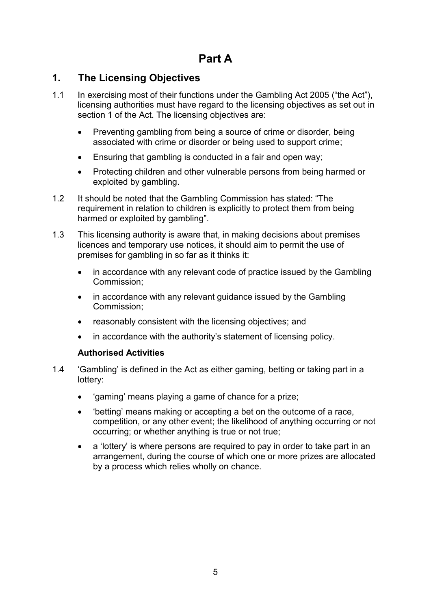## **Part A**

## <span id="page-4-1"></span><span id="page-4-0"></span>**1. The Licensing Objectives**

- 1.1 In exercising most of their functions under the Gambling Act 2005 ("the Act"), licensing authorities must have regard to the licensing objectives as set out in section 1 of the Act. The licensing objectives are:
	- Preventing gambling from being a source of crime or disorder, being associated with crime or disorder or being used to support crime;
	- Ensuring that gambling is conducted in a fair and open way;
	- Protecting children and other vulnerable persons from being harmed or exploited by gambling.
- 1.2 It should be noted that the Gambling Commission has stated: "The requirement in relation to children is explicitly to protect them from being harmed or exploited by gambling".
- 1.3 This licensing authority is aware that, in making decisions about premises licences and temporary use notices, it should aim to permit the use of premises for gambling in so far as it thinks it:
	- in accordance with any relevant code of practice issued by the Gambling Commission;
	- in accordance with any relevant quidance issued by the Gambling Commission;
	- reasonably consistent with the licensing objectives; and
	- in accordance with the authority's statement of licensing policy.

#### **Authorised Activities**

- 1.4 'Gambling' is defined in the Act as either gaming, betting or taking part in a lottery:
	- 'gaming' means playing a game of chance for a prize;
	- 'betting' means making or accepting a bet on the outcome of a race, competition, or any other event; the likelihood of anything occurring or not occurring; or whether anything is true or not true;
	- a 'lottery' is where persons are required to pay in order to take part in an arrangement, during the course of which one or more prizes are allocated by a process which relies wholly on chance.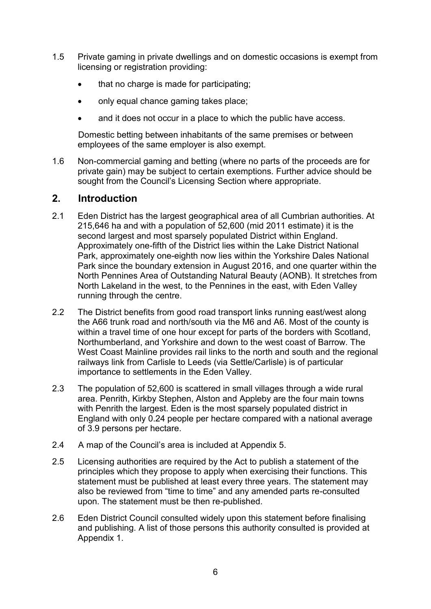- 1.5 Private gaming in private dwellings and on domestic occasions is exempt from licensing or registration providing:
	- that no charge is made for participating;
	- only equal chance gaming takes place;
	- and it does not occur in a place to which the public have access.

Domestic betting between inhabitants of the same premises or between employees of the same employer is also exempt.

1.6 Non-commercial gaming and betting (where no parts of the proceeds are for private gain) may be subject to certain exemptions. Further advice should be sought from the Council's Licensing Section where appropriate.

#### <span id="page-5-0"></span>**2. Introduction**

- 2.1 Eden District has the largest geographical area of all Cumbrian authorities. At 215,646 ha and with a population of 52,600 (mid 2011 estimate) it is the second largest and most sparsely populated District within England. Approximately one-fifth of the District lies within the Lake District National Park, approximately one-eighth now lies within the Yorkshire Dales National Park since the boundary extension in August 2016, and one quarter within the North Pennines Area of Outstanding Natural Beauty (AONB). It stretches from North Lakeland in the west, to the Pennines in the east, with Eden Valley running through the centre.
- 2.2 The District benefits from good road transport links running east/west along the A66 trunk road and north/south via the M6 and A6. Most of the county is within a travel time of one hour except for parts of the borders with Scotland, Northumberland, and Yorkshire and down to the west coast of Barrow. The West Coast Mainline provides rail links to the north and south and the regional railways link from Carlisle to Leeds (via Settle/Carlisle) is of particular importance to settlements in the Eden Valley.
- 2.3 The population of 52,600 is scattered in small villages through a wide rural area. Penrith, Kirkby Stephen, Alston and Appleby are the four main towns with Penrith the largest. Eden is the most sparsely populated district in England with only 0.24 people per hectare compared with a national average of 3.9 persons per hectare.
- 2.4 A map of the Council's area is included at Appendix 5.
- 2.5 Licensing authorities are required by the Act to publish a statement of the principles which they propose to apply when exercising their functions. This statement must be published at least every three years. The statement may also be reviewed from "time to time" and any amended parts re-consulted upon. The statement must be then re-published.
- 2.6 Eden District Council consulted widely upon this statement before finalising and publishing. A list of those persons this authority consulted is provided at Appendix 1.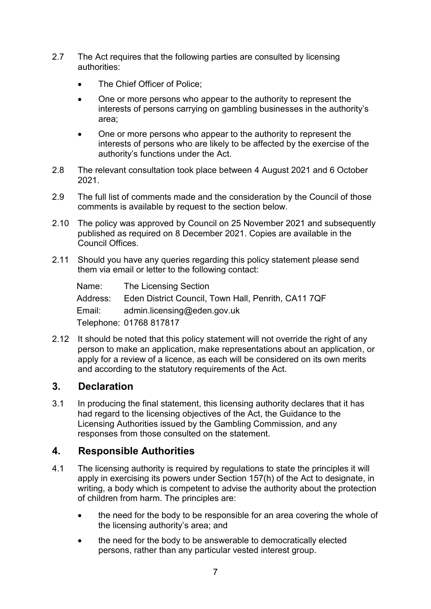- 2.7 The Act requires that the following parties are consulted by licensing authorities:
	- The Chief Officer of Police:
	- One or more persons who appear to the authority to represent the interests of persons carrying on gambling businesses in the authority's area;
	- One or more persons who appear to the authority to represent the interests of persons who are likely to be affected by the exercise of the authority's functions under the Act.
- 2.8 The relevant consultation took place between 4 August 2021 and 6 October 2021.
- 2.9 The full list of comments made and the consideration by the Council of those comments is available by request to the section below.
- 2.10 The policy was approved by Council on 25 November 2021 and subsequently published as required on 8 December 2021. Copies are available in the Council Offices.
- 2.11 Should you have any queries regarding this policy statement please send them via email or letter to the following contact:

| Name:    | The Licensing Section                               |
|----------|-----------------------------------------------------|
| Address: | Eden District Council, Town Hall, Penrith, CA11 7QF |
| Email:   | admin.licensing@eden.gov.uk                         |
|          | Telephone: 01768 817817                             |

2.12 It should be noted that this policy statement will not override the right of any person to make an application, make representations about an application, or apply for a review of a licence, as each will be considered on its own merits and according to the statutory requirements of the Act.

### <span id="page-6-0"></span>**3. Declaration**

3.1 In producing the final statement, this licensing authority declares that it has had regard to the licensing objectives of the Act, the Guidance to the Licensing Authorities issued by the Gambling Commission, and any responses from those consulted on the statement.

### <span id="page-6-1"></span>**4. Responsible Authorities**

- 4.1 The licensing authority is required by regulations to state the principles it will apply in exercising its powers under Section 157(h) of the Act to designate, in writing, a body which is competent to advise the authority about the protection of children from harm. The principles are:
	- the need for the body to be responsible for an area covering the whole of the licensing authority's area; and
	- the need for the body to be answerable to democratically elected persons, rather than any particular vested interest group.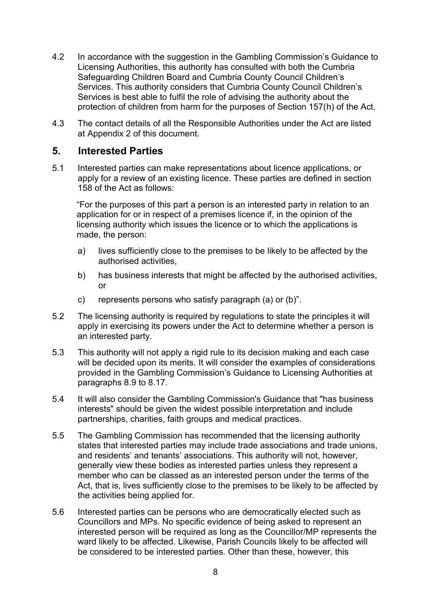- 4.2 In accordance with the suggestion in the Gambling Commission's Guidance to Licensing Authorities, this authority has consulted with both the Cumbria Safeguarding Children Board and Cumbria County Council Children's Services. This authority considers that Cumbria County Council Children's Services is best able to fulfil the role of advising the authority about the protection of children from harm for the purposes of Section 157(h) of the Act.
- 4.3 The contact details of all the Responsible Authorities under the Act are listed at Appendix 2 of this document.

#### <span id="page-7-0"></span>**5. Interested Parties**

5.1 Interested parties can make representations about licence applications, or apply for a review of an existing licence. These parties are defined in section 158 of the Act as follows:

"For the purposes of this part a person is an interested party in relation to an application for or in respect of a premises licence if, in the opinion of the licensing authority which issues the licence or to which the applications is made, the person:

- a) lives sufficiently close to the premises to be likely to be affected by the authorised activities,
- b) has business interests that might be affected by the authorised activities, or
- c) represents persons who satisfy paragraph (a) or (b)".
- 5.2 The licensing authority is required by regulations to state the principles it will apply in exercising its powers under the Act to determine whether a person is an interested party.
- 5.3 This authority will not apply a rigid rule to its decision making and each case will be decided upon its merits. It will consider the examples of considerations provided in the Gambling Commission's Guidance to Licensing Authorities at paragraphs 8.9 to 8.17.
- 5.4 It will also consider the Gambling Commission's Guidance that "has business interests" should be given the widest possible interpretation and include partnerships, charities, faith groups and medical practices.
- 5.5 The Gambling Commission has recommended that the licensing authority states that interested parties may include trade associations and trade unions, and residents' and tenants' associations. This authority will not, however, generally view these bodies as interested parties unless they represent a member who can be classed as an interested person under the terms of the Act, that is, lives sufficiently close to the premises to be likely to be affected by the activities being applied for.
- 5.6 Interested parties can be persons who are democratically elected such as Councillors and MPs. No specific evidence of being asked to represent an interested person will be required as long as the Councillor/MP represents the ward likely to be affected. Likewise, Parish Councils likely to be affected will be considered to be interested parties. Other than these, however, this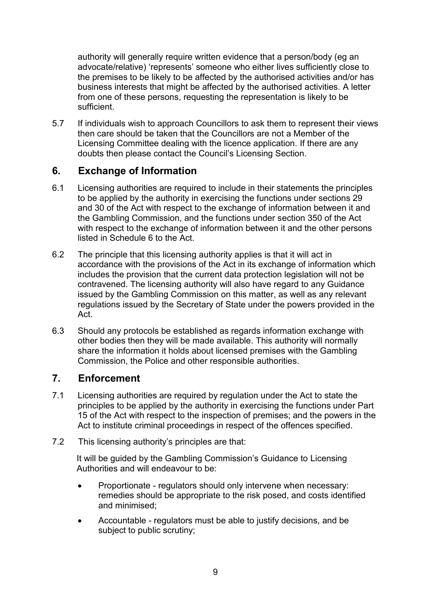authority will generally require written evidence that a person/body (eg an advocate/relative) 'represents' someone who either lives sufficiently close to the premises to be likely to be affected by the authorised activities and/or has business interests that might be affected by the authorised activities. A letter from one of these persons, requesting the representation is likely to be sufficient.

5.7 If individuals wish to approach Councillors to ask them to represent their views then care should be taken that the Councillors are not a Member of the Licensing Committee dealing with the licence application. If there are any doubts then please contact the Council's Licensing Section.

## <span id="page-8-0"></span>**6. Exchange of Information**

- 6.1 Licensing authorities are required to include in their statements the principles to be applied by the authority in exercising the functions under sections 29 and 30 of the Act with respect to the exchange of information between it and the Gambling Commission, and the functions under section 350 of the Act with respect to the exchange of information between it and the other persons listed in Schedule 6 to the Act.
- 6.2 The principle that this licensing authority applies is that it will act in accordance with the provisions of the Act in its exchange of information which includes the provision that the current data protection legislation will not be contravened. The licensing authority will also have regard to any Guidance issued by the Gambling Commission on this matter, as well as any relevant regulations issued by the Secretary of State under the powers provided in the Act.
- 6.3 Should any protocols be established as regards information exchange with other bodies then they will be made available. This authority will normally share the information it holds about licensed premises with the Gambling Commission, the Police and other responsible authorities.

### <span id="page-8-1"></span>**7. Enforcement**

- 7.1 Licensing authorities are required by regulation under the Act to state the principles to be applied by the authority in exercising the functions under Part 15 of the Act with respect to the inspection of premises; and the powers in the Act to institute criminal proceedings in respect of the offences specified.
- 7.2 This licensing authority's principles are that:

It will be guided by the Gambling Commission's Guidance to Licensing Authorities and will endeavour to be:

- Proportionate regulators should only intervene when necessary: remedies should be appropriate to the risk posed, and costs identified and minimised;
- Accountable regulators must be able to justify decisions, and be subject to public scrutiny;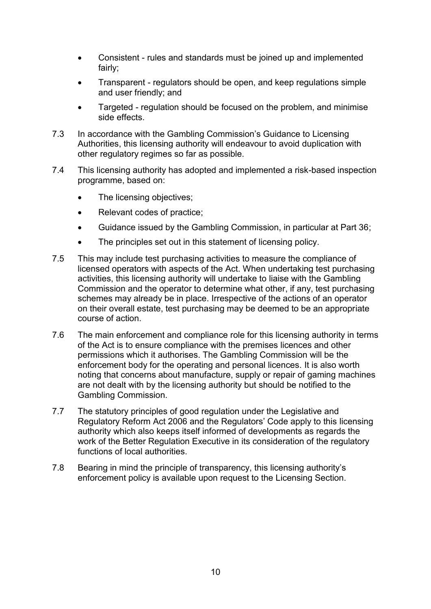- Consistent rules and standards must be joined up and implemented fairly;
- Transparent regulators should be open, and keep regulations simple and user friendly; and
- Targeted regulation should be focused on the problem, and minimise side effects.
- 7.3 In accordance with the Gambling Commission's Guidance to Licensing Authorities, this licensing authority will endeavour to avoid duplication with other regulatory regimes so far as possible.
- 7.4 This licensing authority has adopted and implemented a risk-based inspection programme, based on:
	- The licensing objectives;
	- Relevant codes of practice;
	- Guidance issued by the Gambling Commission, in particular at Part 36;
	- The principles set out in this statement of licensing policy.
- 7.5 This may include test purchasing activities to measure the compliance of licensed operators with aspects of the Act. When undertaking test purchasing activities, this licensing authority will undertake to liaise with the Gambling Commission and the operator to determine what other, if any, test purchasing schemes may already be in place. Irrespective of the actions of an operator on their overall estate, test purchasing may be deemed to be an appropriate course of action.
- 7.6 The main enforcement and compliance role for this licensing authority in terms of the Act is to ensure compliance with the premises licences and other permissions which it authorises. The Gambling Commission will be the enforcement body for the operating and personal licences. It is also worth noting that concerns about manufacture, supply or repair of gaming machines are not dealt with by the licensing authority but should be notified to the Gambling Commission.
- 7.7 The statutory principles of good regulation under the Legislative and Regulatory Reform Act 2006 and the Regulators' Code apply to this licensing authority which also keeps itself informed of developments as regards the work of the Better Regulation Executive in its consideration of the regulatory functions of local authorities.
- 7.8 Bearing in mind the principle of transparency, this licensing authority's enforcement policy is available upon request to the Licensing Section.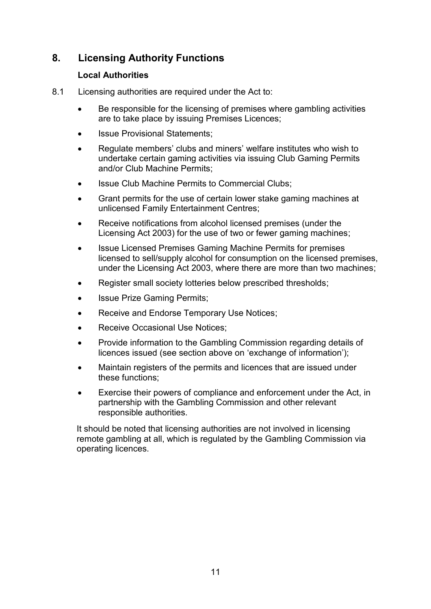## <span id="page-10-0"></span>**8. Licensing Authority Functions**

#### **Local Authorities**

- 8.1 Licensing authorities are required under the Act to:
	- Be responsible for the licensing of premises where gambling activities are to take place by issuing Premises Licences;
	- Issue Provisional Statements;
	- Regulate members' clubs and miners' welfare institutes who wish to undertake certain gaming activities via issuing Club Gaming Permits and/or Club Machine Permits;
	- Issue Club Machine Permits to Commercial Clubs;
	- Grant permits for the use of certain lower stake gaming machines at unlicensed Family Entertainment Centres;
	- Receive notifications from alcohol licensed premises (under the Licensing Act 2003) for the use of two or fewer gaming machines;
	- Issue Licensed Premises Gaming Machine Permits for premises licensed to sell/supply alcohol for consumption on the licensed premises, under the Licensing Act 2003, where there are more than two machines;
	- Register small society lotteries below prescribed thresholds;
	- Issue Prize Gaming Permits;
	- Receive and Endorse Temporary Use Notices;
	- Receive Occasional Use Notices;
	- Provide information to the Gambling Commission regarding details of licences issued (see section above on 'exchange of information');
	- Maintain registers of the permits and licences that are issued under these functions;
	- Exercise their powers of compliance and enforcement under the Act, in partnership with the Gambling Commission and other relevant responsible authorities.

It should be noted that licensing authorities are not involved in licensing remote gambling at all, which is regulated by the Gambling Commission via operating licences.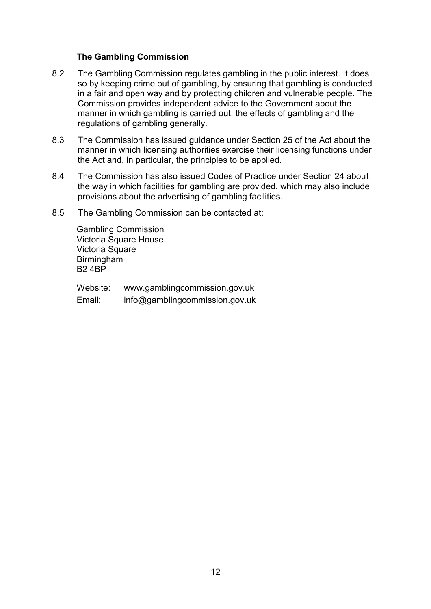#### **The Gambling Commission**

- 8.2 The Gambling Commission regulates gambling in the public interest. It does so by keeping crime out of gambling, by ensuring that gambling is conducted in a fair and open way and by protecting children and vulnerable people. The Commission provides independent advice to the Government about the manner in which gambling is carried out, the effects of gambling and the regulations of gambling generally.
- 8.3 The Commission has issued guidance under Section 25 of the Act about the manner in which licensing authorities exercise their licensing functions under the Act and, in particular, the principles to be applied.
- 8.4 The Commission has also issued Codes of Practice under Section 24 about the way in which facilities for gambling are provided, which may also include provisions about the advertising of gambling facilities.
- 8.5 The Gambling Commission can be contacted at:

Gambling Commission Victoria Square House Victoria Square **Birmingham** B2 4BP

Website: www.gamblingcommission.gov.uk Email: info@gamblingcommission.gov.uk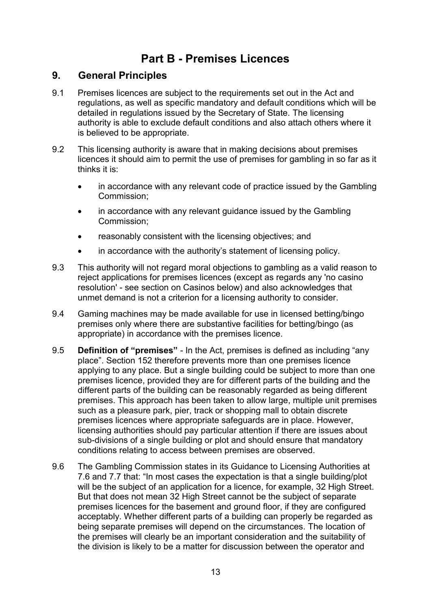## **Part B - Premises Licences**

## <span id="page-12-1"></span><span id="page-12-0"></span>**9. General Principles**

- 9.1 Premises licences are subject to the requirements set out in the Act and regulations, as well as specific mandatory and default conditions which will be detailed in regulations issued by the Secretary of State. The licensing authority is able to exclude default conditions and also attach others where it is believed to be appropriate.
- 9.2 This licensing authority is aware that in making decisions about premises licences it should aim to permit the use of premises for gambling in so far as it thinks it is:
	- in accordance with any relevant code of practice issued by the Gambling Commission;
	- in accordance with any relevant guidance issued by the Gambling Commission;
	- reasonably consistent with the licensing objectives; and
	- in accordance with the authority's statement of licensing policy.
- 9.3 This authority will not regard moral objections to gambling as a valid reason to reject applications for premises licences (except as regards any 'no casino resolution' - see section on Casinos below) and also acknowledges that unmet demand is not a criterion for a licensing authority to consider.
- 9.4 Gaming machines may be made available for use in licensed betting/bingo premises only where there are substantive facilities for betting/bingo (as appropriate) in accordance with the premises licence.
- 9.5 **Definition of "premises"** In the Act, premises is defined as including "any place". Section 152 therefore prevents more than one premises licence applying to any place. But a single building could be subject to more than one premises licence, provided they are for different parts of the building and the different parts of the building can be reasonably regarded as being different premises. This approach has been taken to allow large, multiple unit premises such as a pleasure park, pier, track or shopping mall to obtain discrete premises licences where appropriate safeguards are in place. However, licensing authorities should pay particular attention if there are issues about sub-divisions of a single building or plot and should ensure that mandatory conditions relating to access between premises are observed.
- 9.6 The Gambling Commission states in its Guidance to Licensing Authorities at 7.6 and 7.7 that: "In most cases the expectation is that a single building/plot will be the subject of an application for a licence, for example, 32 High Street. But that does not mean 32 High Street cannot be the subject of separate premises licences for the basement and ground floor, if they are configured acceptably. Whether different parts of a building can properly be regarded as being separate premises will depend on the circumstances. The location of the premises will clearly be an important consideration and the suitability of the division is likely to be a matter for discussion between the operator and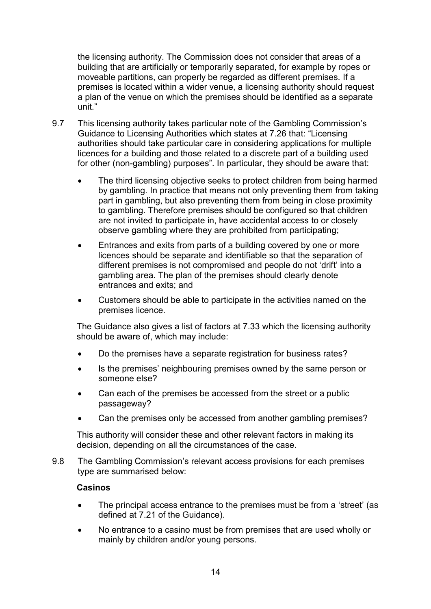the licensing authority. The Commission does not consider that areas of a building that are artificially or temporarily separated, for example by ropes or moveable partitions, can properly be regarded as different premises. If a premises is located within a wider venue, a licensing authority should request a plan of the venue on which the premises should be identified as a separate unit."

- 9.7 This licensing authority takes particular note of the Gambling Commission's Guidance to Licensing Authorities which states at 7.26 that: "Licensing authorities should take particular care in considering applications for multiple licences for a building and those related to a discrete part of a building used for other (non-gambling) purposes". In particular, they should be aware that:
	- The third licensing objective seeks to protect children from being harmed by gambling. In practice that means not only preventing them from taking part in gambling, but also preventing them from being in close proximity to gambling. Therefore premises should be configured so that children are not invited to participate in, have accidental access to or closely observe gambling where they are prohibited from participating;
	- Entrances and exits from parts of a building covered by one or more licences should be separate and identifiable so that the separation of different premises is not compromised and people do not 'drift' into a gambling area. The plan of the premises should clearly denote entrances and exits; and
	- Customers should be able to participate in the activities named on the premises licence.

The Guidance also gives a list of factors at 7.33 which the licensing authority should be aware of, which may include:

- Do the premises have a separate registration for business rates?
- Is the premises' neighbouring premises owned by the same person or someone else?
- Can each of the premises be accessed from the street or a public passageway?
- Can the premises only be accessed from another gambling premises?

This authority will consider these and other relevant factors in making its decision, depending on all the circumstances of the case.

9.8 The Gambling Commission's relevant access provisions for each premises type are summarised below:

#### **Casinos**

- The principal access entrance to the premises must be from a 'street' (as defined at 7.21 of the Guidance).
- No entrance to a casino must be from premises that are used wholly or mainly by children and/or young persons.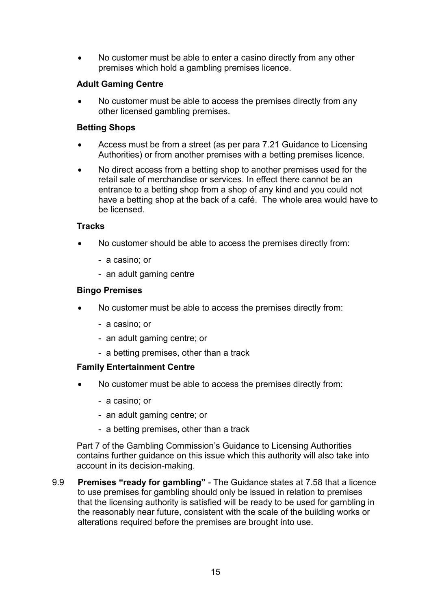• No customer must be able to enter a casino directly from any other premises which hold a gambling premises licence.

#### **Adult Gaming Centre**

 No customer must be able to access the premises directly from any other licensed gambling premises.

#### **Betting Shops**

- Access must be from a street (as per para 7.21 Guidance to Licensing Authorities) or from another premises with a betting premises licence.
- No direct access from a betting shop to another premises used for the retail sale of merchandise or services. In effect there cannot be an entrance to a betting shop from a shop of any kind and you could not have a betting shop at the back of a café. The whole area would have to be licensed.

#### **Tracks**

- No customer should be able to access the premises directly from:
	- a casino; or
	- an adult gaming centre

#### **Bingo Premises**

- No customer must be able to access the premises directly from:
	- a casino; or
	- an adult gaming centre; or
	- a betting premises, other than a track

#### **Family Entertainment Centre**

- No customer must be able to access the premises directly from:
	- a casino; or
	- an adult gaming centre; or
	- a betting premises, other than a track

Part 7 of the Gambling Commission's Guidance to Licensing Authorities contains further guidance on this issue which this authority will also take into account in its decision-making.

9.9 **Premises "ready for gambling"** - The Guidance states at 7.58 that a licence to use premises for gambling should only be issued in relation to premises that the licensing authority is satisfied will be ready to be used for gambling in the reasonably near future, consistent with the scale of the building works or alterations required before the premises are brought into use.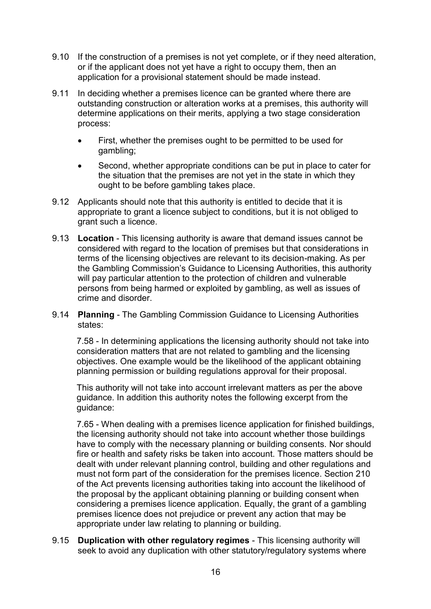- 9.10 If the construction of a premises is not yet complete, or if they need alteration, or if the applicant does not yet have a right to occupy them, then an application for a provisional statement should be made instead.
- 9.11 In deciding whether a premises licence can be granted where there are outstanding construction or alteration works at a premises, this authority will determine applications on their merits, applying a two stage consideration process:
	- First, whether the premises ought to be permitted to be used for gambling;
	- Second, whether appropriate conditions can be put in place to cater for the situation that the premises are not yet in the state in which they ought to be before gambling takes place.
- 9.12 Applicants should note that this authority is entitled to decide that it is appropriate to grant a licence subject to conditions, but it is not obliged to grant such a licence.
- 9.13 **Location** This licensing authority is aware that demand issues cannot be considered with regard to the location of premises but that considerations in terms of the licensing objectives are relevant to its decision-making. As per the Gambling Commission's Guidance to Licensing Authorities, this authority will pay particular attention to the protection of children and vulnerable persons from being harmed or exploited by gambling, as well as issues of crime and disorder.
- 9.14 **Planning** The Gambling Commission Guidance to Licensing Authorities states:

7.58 - In determining applications the licensing authority should not take into consideration matters that are not related to gambling and the licensing objectives. One example would be the likelihood of the applicant obtaining planning permission or building regulations approval for their proposal.

This authority will not take into account irrelevant matters as per the above guidance. In addition this authority notes the following excerpt from the guidance:

7.65 - When dealing with a premises licence application for finished buildings, the licensing authority should not take into account whether those buildings have to comply with the necessary planning or building consents. Nor should fire or health and safety risks be taken into account. Those matters should be dealt with under relevant planning control, building and other regulations and must not form part of the consideration for the premises licence. Section 210 of the Act prevents licensing authorities taking into account the likelihood of the proposal by the applicant obtaining planning or building consent when considering a premises licence application. Equally, the grant of a gambling premises licence does not prejudice or prevent any action that may be appropriate under law relating to planning or building.

9.15 **Duplication with other regulatory regimes** - This licensing authority will seek to avoid any duplication with other statutory/regulatory systems where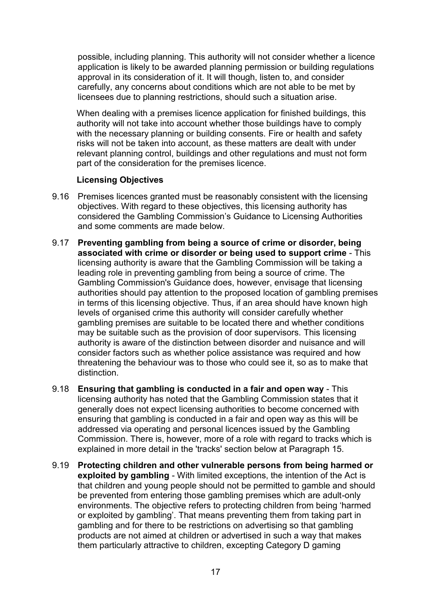possible, including planning. This authority will not consider whether a licence application is likely to be awarded planning permission or building regulations approval in its consideration of it. It will though, listen to, and consider carefully, any concerns about conditions which are not able to be met by licensees due to planning restrictions, should such a situation arise.

When dealing with a premises licence application for finished buildings, this authority will not take into account whether those buildings have to comply with the necessary planning or building consents. Fire or health and safety risks will not be taken into account, as these matters are dealt with under relevant planning control, buildings and other regulations and must not form part of the consideration for the premises licence.

#### **Licensing Objectives**

- 9.16 Premises licences granted must be reasonably consistent with the licensing objectives. With regard to these objectives, this licensing authority has considered the Gambling Commission's Guidance to Licensing Authorities and some comments are made below.
- 9.17 **Preventing gambling from being a source of crime or disorder, being associated with crime or disorder or being used to support crime** - This licensing authority is aware that the Gambling Commission will be taking a leading role in preventing gambling from being a source of crime. The Gambling Commission's Guidance does, however, envisage that licensing authorities should pay attention to the proposed location of gambling premises in terms of this licensing objective. Thus, if an area should have known high levels of organised crime this authority will consider carefully whether gambling premises are suitable to be located there and whether conditions may be suitable such as the provision of door supervisors. This licensing authority is aware of the distinction between disorder and nuisance and will consider factors such as whether police assistance was required and how threatening the behaviour was to those who could see it, so as to make that distinction.
- 9.18 **Ensuring that gambling is conducted in a fair and open way** This licensing authority has noted that the Gambling Commission states that it generally does not expect licensing authorities to become concerned with ensuring that gambling is conducted in a fair and open way as this will be addressed via operating and personal licences issued by the Gambling Commission. There is, however, more of a role with regard to tracks which is explained in more detail in the 'tracks' section below at Paragraph 15.
- 9.19 **Protecting children and other vulnerable persons from being harmed or exploited by gambling** - With limited exceptions, the intention of the Act is that children and young people should not be permitted to gamble and should be prevented from entering those gambling premises which are adult-only environments. The objective refers to protecting children from being 'harmed or exploited by gambling'. That means preventing them from taking part in gambling and for there to be restrictions on advertising so that gambling products are not aimed at children or advertised in such a way that makes them particularly attractive to children, excepting Category D gaming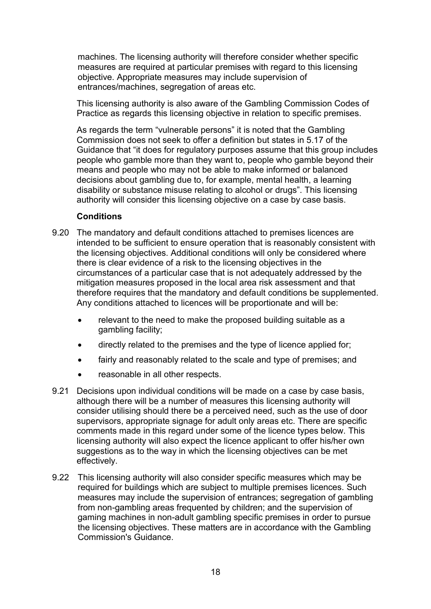machines. The licensing authority will therefore consider whether specific measures are required at particular premises with regard to this licensing objective. Appropriate measures may include supervision of entrances/machines, segregation of areas etc.

This licensing authority is also aware of the Gambling Commission Codes of Practice as regards this licensing objective in relation to specific premises.

As regards the term "vulnerable persons" it is noted that the Gambling Commission does not seek to offer a definition but states in 5.17 of the Guidance that "it does for regulatory purposes assume that this group includes people who gamble more than they want to, people who gamble beyond their means and people who may not be able to make informed or balanced decisions about gambling due to, for example, mental health, a learning disability or substance misuse relating to alcohol or drugs". This licensing authority will consider this licensing objective on a case by case basis.

#### **Conditions**

- 9.20 The mandatory and default conditions attached to premises licences are intended to be sufficient to ensure operation that is reasonably consistent with the licensing objectives. Additional conditions will only be considered where there is clear evidence of a risk to the licensing objectives in the circumstances of a particular case that is not adequately addressed by the mitigation measures proposed in the local area risk assessment and that therefore requires that the mandatory and default conditions be supplemented. Any conditions attached to licences will be proportionate and will be:
	- relevant to the need to make the proposed building suitable as a gambling facility;
	- directly related to the premises and the type of licence applied for;
	- fairly and reasonably related to the scale and type of premises; and
	- reasonable in all other respects.
- 9.21 Decisions upon individual conditions will be made on a case by case basis, although there will be a number of measures this licensing authority will consider utilising should there be a perceived need, such as the use of door supervisors, appropriate signage for adult only areas etc. There are specific comments made in this regard under some of the licence types below. This licensing authority will also expect the licence applicant to offer his/her own suggestions as to the way in which the licensing objectives can be met effectively.
- 9.22 This licensing authority will also consider specific measures which may be required for buildings which are subject to multiple premises licences. Such measures may include the supervision of entrances; segregation of gambling from non-gambling areas frequented by children; and the supervision of gaming machines in non-adult gambling specific premises in order to pursue the licensing objectives. These matters are in accordance with the Gambling Commission's Guidance.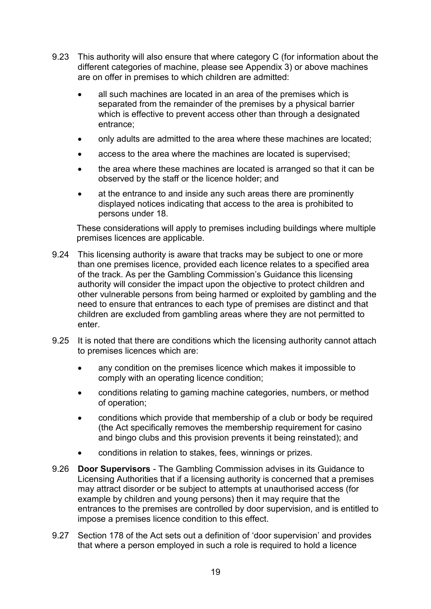- 9.23 This authority will also ensure that where category C (for information about the different categories of machine, please see Appendix 3) or above machines are on offer in premises to which children are admitted:
	- all such machines are located in an area of the premises which is separated from the remainder of the premises by a physical barrier which is effective to prevent access other than through a designated entrance;
	- only adults are admitted to the area where these machines are located;
	- access to the area where the machines are located is supervised;
	- the area where these machines are located is arranged so that it can be observed by the staff or the licence holder; and
	- at the entrance to and inside any such areas there are prominently displayed notices indicating that access to the area is prohibited to persons under 18.

These considerations will apply to premises including buildings where multiple premises licences are applicable.

- 9.24 This licensing authority is aware that tracks may be subject to one or more than one premises licence, provided each licence relates to a specified area of the track. As per the Gambling Commission's Guidance this licensing authority will consider the impact upon the objective to protect children and other vulnerable persons from being harmed or exploited by gambling and the need to ensure that entrances to each type of premises are distinct and that children are excluded from gambling areas where they are not permitted to enter.
- 9.25 It is noted that there are conditions which the licensing authority cannot attach to premises licences which are:
	- any condition on the premises licence which makes it impossible to comply with an operating licence condition;
	- conditions relating to gaming machine categories, numbers, or method of operation;
	- conditions which provide that membership of a club or body be required (the Act specifically removes the membership requirement for casino and bingo clubs and this provision prevents it being reinstated); and
	- conditions in relation to stakes, fees, winnings or prizes.
- 9.26 **Door Supervisors** The Gambling Commission advises in its Guidance to Licensing Authorities that if a licensing authority is concerned that a premises may attract disorder or be subject to attempts at unauthorised access (for example by children and young persons) then it may require that the entrances to the premises are controlled by door supervision, and is entitled to impose a premises licence condition to this effect.
- 9.27 Section 178 of the Act sets out a definition of 'door supervision' and provides that where a person employed in such a role is required to hold a licence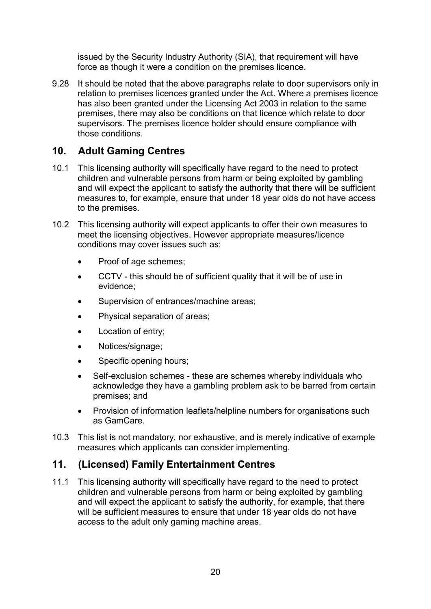issued by the Security Industry Authority (SIA), that requirement will have force as though it were a condition on the premises licence.

9.28 It should be noted that the above paragraphs relate to door supervisors only in relation to premises licences granted under the Act. Where a premises licence has also been granted under the Licensing Act 2003 in relation to the same premises, there may also be conditions on that licence which relate to door supervisors. The premises licence holder should ensure compliance with those conditions.

## <span id="page-19-0"></span>**10. Adult Gaming Centres**

- 10.1 This licensing authority will specifically have regard to the need to protect children and vulnerable persons from harm or being exploited by gambling and will expect the applicant to satisfy the authority that there will be sufficient measures to, for example, ensure that under 18 year olds do not have access to the premises.
- 10.2 This licensing authority will expect applicants to offer their own measures to meet the licensing objectives. However appropriate measures/licence conditions may cover issues such as:
	- Proof of age schemes;
	- CCTV this should be of sufficient quality that it will be of use in evidence;
	- Supervision of entrances/machine areas;
	- Physical separation of areas;
	- Location of entry;
	- Notices/signage;
	- Specific opening hours;
	- Self-exclusion schemes these are schemes whereby individuals who acknowledge they have a gambling problem ask to be barred from certain premises; and
	- Provision of information leaflets/helpline numbers for organisations such as GamCare.
- 10.3 This list is not mandatory, nor exhaustive, and is merely indicative of example measures which applicants can consider implementing.

## <span id="page-19-1"></span>**11. (Licensed) Family Entertainment Centres**

11.1 This licensing authority will specifically have regard to the need to protect children and vulnerable persons from harm or being exploited by gambling and will expect the applicant to satisfy the authority, for example, that there will be sufficient measures to ensure that under 18 year olds do not have access to the adult only gaming machine areas.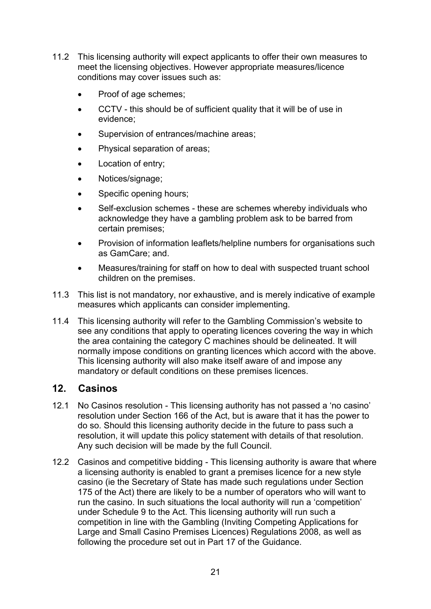- 11.2 This licensing authority will expect applicants to offer their own measures to meet the licensing objectives. However appropriate measures/licence conditions may cover issues such as:
	- Proof of age schemes;
	- CCTV this should be of sufficient quality that it will be of use in evidence;
	- Supervision of entrances/machine areas;
	- Physical separation of areas;
	- Location of entry;
	- Notices/signage;
	- Specific opening hours;
	- Self-exclusion schemes these are schemes whereby individuals who acknowledge they have a gambling problem ask to be barred from certain premises;
	- Provision of information leaflets/helpline numbers for organisations such as GamCare; and.
	- Measures/training for staff on how to deal with suspected truant school children on the premises.
- 11.3 This list is not mandatory, nor exhaustive, and is merely indicative of example measures which applicants can consider implementing.
- 11.4 This licensing authority will refer to the Gambling Commission's website to see any conditions that apply to operating licences covering the way in which the area containing the category C machines should be delineated. It will normally impose conditions on granting licences which accord with the above. This licensing authority will also make itself aware of and impose any mandatory or default conditions on these premises licences.

### <span id="page-20-0"></span>**12. Casinos**

- 12.1 No Casinos resolution This licensing authority has not passed a 'no casino' resolution under Section 166 of the Act, but is aware that it has the power to do so. Should this licensing authority decide in the future to pass such a resolution, it will update this policy statement with details of that resolution. Any such decision will be made by the full Council.
- 12.2 Casinos and competitive bidding This licensing authority is aware that where a licensing authority is enabled to grant a premises licence for a new style casino (ie the Secretary of State has made such regulations under Section 175 of the Act) there are likely to be a number of operators who will want to run the casino. In such situations the local authority will run a 'competition' under Schedule 9 to the Act. This licensing authority will run such a competition in line with the Gambling (Inviting Competing Applications for Large and Small Casino Premises Licences) Regulations 2008, as well as following the procedure set out in Part 17 of the Guidance.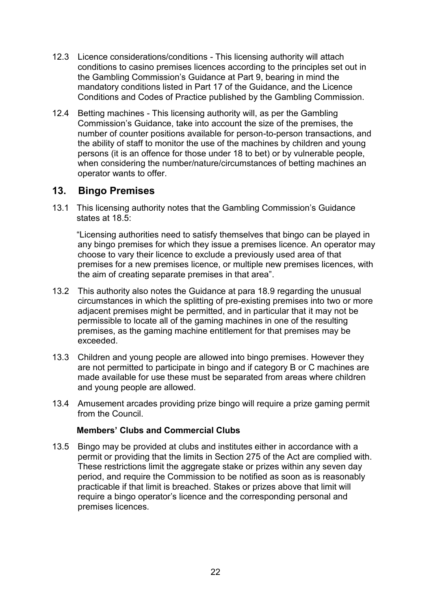- 12.3 Licence considerations/conditions This licensing authority will attach conditions to casino premises licences according to the principles set out in the Gambling Commission's Guidance at Part 9, bearing in mind the mandatory conditions listed in Part 17 of the Guidance, and the Licence Conditions and Codes of Practice published by the Gambling Commission.
- 12.4 Betting machines This licensing authority will, as per the Gambling Commission's Guidance, take into account the size of the premises, the number of counter positions available for person-to-person transactions, and the ability of staff to monitor the use of the machines by children and young persons (it is an offence for those under 18 to bet) or by vulnerable people, when considering the number/nature/circumstances of betting machines an operator wants to offer.

### <span id="page-21-0"></span>**13. Bingo Premises**

13.1 This licensing authority notes that the Gambling Commission's Guidance states at 18.5:

"Licensing authorities need to satisfy themselves that bingo can be played in any bingo premises for which they issue a premises licence. An operator may choose to vary their licence to exclude a previously used area of that premises for a new premises licence, or multiple new premises licences, with the aim of creating separate premises in that area".

- 13.2 This authority also notes the Guidance at para 18.9 regarding the unusual circumstances in which the splitting of pre-existing premises into two or more adjacent premises might be permitted, and in particular that it may not be permissible to locate all of the gaming machines in one of the resulting premises, as the gaming machine entitlement for that premises may be exceeded.
- 13.3 Children and young people are allowed into bingo premises. However they are not permitted to participate in bingo and if category B or C machines are made available for use these must be separated from areas where children and young people are allowed.
- 13.4 Amusement arcades providing prize bingo will require a prize gaming permit from the Council.

#### **Members' Clubs and Commercial Clubs**

13.5 Bingo may be provided at clubs and institutes either in accordance with a permit or providing that the limits in Section 275 of the Act are complied with. These restrictions limit the aggregate stake or prizes within any seven day period, and require the Commission to be notified as soon as is reasonably practicable if that limit is breached. Stakes or prizes above that limit will require a bingo operator's licence and the corresponding personal and premises licences.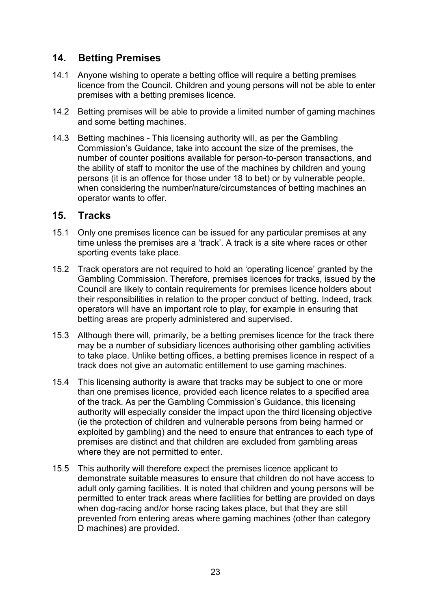## <span id="page-22-0"></span>**14. Betting Premises**

- 14.1 Anyone wishing to operate a betting office will require a betting premises licence from the Council. Children and young persons will not be able to enter premises with a betting premises licence.
- 14.2 Betting premises will be able to provide a limited number of gaming machines and some betting machines.
- 14.3 Betting machines This licensing authority will, as per the Gambling Commission's Guidance, take into account the size of the premises, the number of counter positions available for person-to-person transactions, and the ability of staff to monitor the use of the machines by children and young persons (it is an offence for those under 18 to bet) or by vulnerable people, when considering the number/nature/circumstances of betting machines an operator wants to offer.

#### <span id="page-22-1"></span>**15. Tracks**

- 15.1 Only one premises licence can be issued for any particular premises at any time unless the premises are a 'track'. A track is a site where races or other sporting events take place.
- 15.2 Track operators are not required to hold an 'operating licence' granted by the Gambling Commission. Therefore, premises licences for tracks, issued by the Council are likely to contain requirements for premises licence holders about their responsibilities in relation to the proper conduct of betting. Indeed, track operators will have an important role to play, for example in ensuring that betting areas are properly administered and supervised.
- 15.3 Although there will, primarily, be a betting premises licence for the track there may be a number of subsidiary licences authorising other gambling activities to take place. Unlike betting offices, a betting premises licence in respect of a track does not give an automatic entitlement to use gaming machines.
- 15.4 This licensing authority is aware that tracks may be subject to one or more than one premises licence, provided each licence relates to a specified area of the track. As per the Gambling Commission's Guidance, this licensing authority will especially consider the impact upon the third licensing objective (ie the protection of children and vulnerable persons from being harmed or exploited by gambling) and the need to ensure that entrances to each type of premises are distinct and that children are excluded from gambling areas where they are not permitted to enter.
- 15.5 This authority will therefore expect the premises licence applicant to demonstrate suitable measures to ensure that children do not have access to adult only gaming facilities. It is noted that children and young persons will be permitted to enter track areas where facilities for betting are provided on days when dog-racing and/or horse racing takes place, but that they are still prevented from entering areas where gaming machines (other than category D machines) are provided.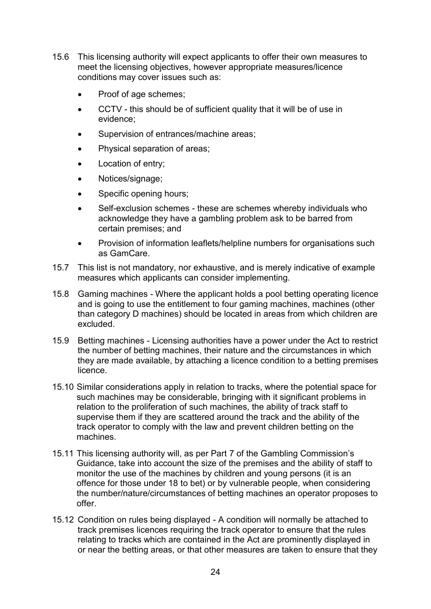- 15.6 This licensing authority will expect applicants to offer their own measures to meet the licensing objectives, however appropriate measures/licence conditions may cover issues such as:
	- Proof of age schemes;
	- CCTV this should be of sufficient quality that it will be of use in evidence;
	- Supervision of entrances/machine areas;
	- Physical separation of areas;
	- Location of entry;
	- Notices/signage;
	- Specific opening hours;
	- Self-exclusion schemes these are schemes whereby individuals who acknowledge they have a gambling problem ask to be barred from certain premises; and
	- Provision of information leaflets/helpline numbers for organisations such as GamCare.
- 15.7 This list is not mandatory, nor exhaustive, and is merely indicative of example measures which applicants can consider implementing.
- 15.8 Gaming machines Where the applicant holds a pool betting operating licence and is going to use the entitlement to four gaming machines, machines (other than category D machines) should be located in areas from which children are excluded.
- 15.9 Betting machines Licensing authorities have a power under the Act to restrict the number of betting machines, their nature and the circumstances in which they are made available, by attaching a licence condition to a betting premises licence.
- 15.10 Similar considerations apply in relation to tracks, where the potential space for such machines may be considerable, bringing with it significant problems in relation to the proliferation of such machines, the ability of track staff to supervise them if they are scattered around the track and the ability of the track operator to comply with the law and prevent children betting on the machines.
- 15.11 This licensing authority will, as per Part 7 of the Gambling Commission's Guidance, take into account the size of the premises and the ability of staff to monitor the use of the machines by children and young persons (it is an offence for those under 18 to bet) or by vulnerable people, when considering the number/nature/circumstances of betting machines an operator proposes to offer.
- 15.12 Condition on rules being displayed A condition will normally be attached to track premises licences requiring the track operator to ensure that the rules relating to tracks which are contained in the Act are prominently displayed in or near the betting areas, or that other measures are taken to ensure that they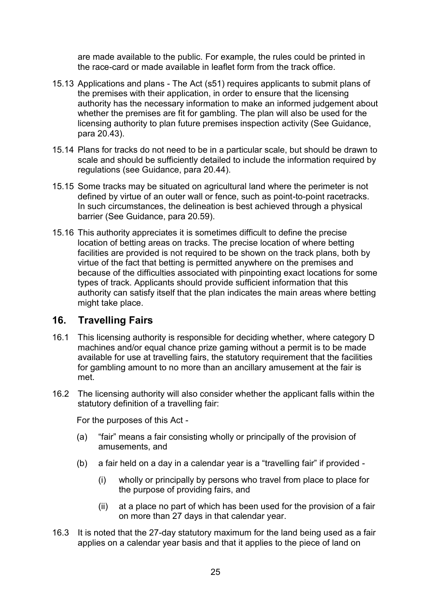are made available to the public. For example, the rules could be printed in the race-card or made available in leaflet form from the track office.

- 15.13 Applications and plans The Act (s51) requires applicants to submit plans of the premises with their application, in order to ensure that the licensing authority has the necessary information to make an informed judgement about whether the premises are fit for gambling. The plan will also be used for the licensing authority to plan future premises inspection activity (See Guidance, para 20.43).
- 15.14 Plans for tracks do not need to be in a particular scale, but should be drawn to scale and should be sufficiently detailed to include the information required by regulations (see Guidance, para 20.44).
- 15.15 Some tracks may be situated on agricultural land where the perimeter is not defined by virtue of an outer wall or fence, such as point-to-point racetracks. In such circumstances, the delineation is best achieved through a physical barrier (See Guidance, para 20.59).
- 15.16 This authority appreciates it is sometimes difficult to define the precise location of betting areas on tracks. The precise location of where betting facilities are provided is not required to be shown on the track plans, both by virtue of the fact that betting is permitted anywhere on the premises and because of the difficulties associated with pinpointing exact locations for some types of track. Applicants should provide sufficient information that this authority can satisfy itself that the plan indicates the main areas where betting might take place.

### <span id="page-24-0"></span>**16. Travelling Fairs**

- 16.1 This licensing authority is responsible for deciding whether, where category D machines and/or equal chance prize gaming without a permit is to be made available for use at travelling fairs, the statutory requirement that the facilities for gambling amount to no more than an ancillary amusement at the fair is met.
- 16.2 The licensing authority will also consider whether the applicant falls within the statutory definition of a travelling fair:

For the purposes of this Act -

- (a) "fair" means a fair consisting wholly or principally of the provision of amusements, and
- (b) a fair held on a day in a calendar year is a "travelling fair" if provided
	- (i) wholly or principally by persons who travel from place to place for the purpose of providing fairs, and
	- (ii) at a place no part of which has been used for the provision of a fair on more than 27 days in that calendar year.
- 16.3 It is noted that the 27-day statutory maximum for the land being used as a fair applies on a calendar year basis and that it applies to the piece of land on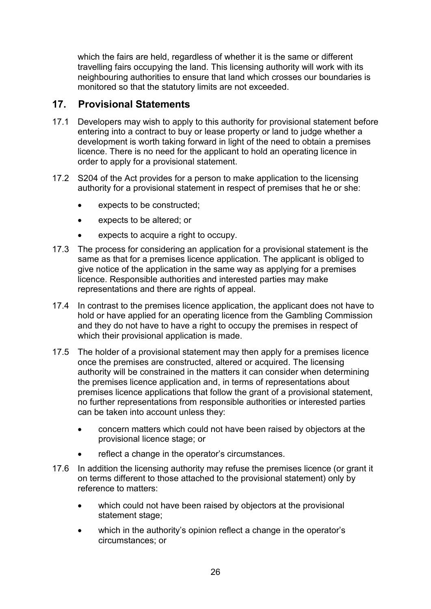which the fairs are held, regardless of whether it is the same or different travelling fairs occupying the land. This licensing authority will work with its neighbouring authorities to ensure that land which crosses our boundaries is monitored so that the statutory limits are not exceeded.

### <span id="page-25-0"></span>**17. Provisional Statements**

- 17.1 Developers may wish to apply to this authority for provisional statement before entering into a contract to buy or lease property or land to judge whether a development is worth taking forward in light of the need to obtain a premises licence. There is no need for the applicant to hold an operating licence in order to apply for a provisional statement.
- 17.2 S204 of the Act provides for a person to make application to the licensing authority for a provisional statement in respect of premises that he or she:
	- expects to be constructed;
	- expects to be altered; or
	- expects to acquire a right to occupy.
- 17.3 The process for considering an application for a provisional statement is the same as that for a premises licence application. The applicant is obliged to give notice of the application in the same way as applying for a premises licence. Responsible authorities and interested parties may make representations and there are rights of appeal.
- 17.4 In contrast to the premises licence application, the applicant does not have to hold or have applied for an operating licence from the Gambling Commission and they do not have to have a right to occupy the premises in respect of which their provisional application is made.
- 17.5 The holder of a provisional statement may then apply for a premises licence once the premises are constructed, altered or acquired. The licensing authority will be constrained in the matters it can consider when determining the premises licence application and, in terms of representations about premises licence applications that follow the grant of a provisional statement, no further representations from responsible authorities or interested parties can be taken into account unless they:
	- concern matters which could not have been raised by objectors at the provisional licence stage; or
	- reflect a change in the operator's circumstances.
- 17.6 In addition the licensing authority may refuse the premises licence (or grant it on terms different to those attached to the provisional statement) only by reference to matters:
	- which could not have been raised by objectors at the provisional statement stage;
	- which in the authority's opinion reflect a change in the operator's circumstances; or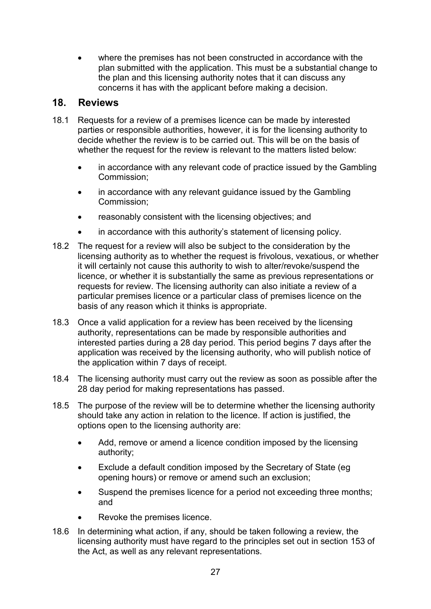where the premises has not been constructed in accordance with the plan submitted with the application. This must be a substantial change to the plan and this licensing authority notes that it can discuss any concerns it has with the applicant before making a decision.

### <span id="page-26-0"></span>**18. Reviews**

- 18.1 Requests for a review of a premises licence can be made by interested parties or responsible authorities, however, it is for the licensing authority to decide whether the review is to be carried out. This will be on the basis of whether the request for the review is relevant to the matters listed below:
	- in accordance with any relevant code of practice issued by the Gambling Commission;
	- in accordance with any relevant guidance issued by the Gambling Commission;
	- reasonably consistent with the licensing objectives; and
	- in accordance with this authority's statement of licensing policy.
- 18.2 The request for a review will also be subject to the consideration by the licensing authority as to whether the request is frivolous, vexatious, or whether it will certainly not cause this authority to wish to alter/revoke/suspend the licence, or whether it is substantially the same as previous representations or requests for review. The licensing authority can also initiate a review of a particular premises licence or a particular class of premises licence on the basis of any reason which it thinks is appropriate.
- 18.3 Once a valid application for a review has been received by the licensing authority, representations can be made by responsible authorities and interested parties during a 28 day period. This period begins 7 days after the application was received by the licensing authority, who will publish notice of the application within 7 days of receipt.
- 18.4 The licensing authority must carry out the review as soon as possible after the 28 day period for making representations has passed.
- 18.5 The purpose of the review will be to determine whether the licensing authority should take any action in relation to the licence. If action is justified, the options open to the licensing authority are:
	- Add, remove or amend a licence condition imposed by the licensing authority;
	- Exclude a default condition imposed by the Secretary of State (eg opening hours) or remove or amend such an exclusion;
	- Suspend the premises licence for a period not exceeding three months; and
	- Revoke the premises licence.
- 18.6 In determining what action, if any, should be taken following a review, the licensing authority must have regard to the principles set out in section 153 of the Act, as well as any relevant representations.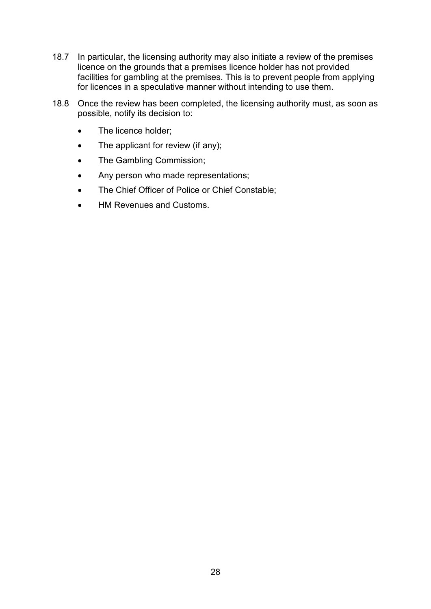- 18.7 In particular, the licensing authority may also initiate a review of the premises licence on the grounds that a premises licence holder has not provided facilities for gambling at the premises. This is to prevent people from applying for licences in a speculative manner without intending to use them.
- 18.8 Once the review has been completed, the licensing authority must, as soon as possible, notify its decision to:
	- The licence holder;
	- $\bullet$  The applicant for review (if any);
	- The Gambling Commission;
	- Any person who made representations;
	- The Chief Officer of Police or Chief Constable;
	- HM Revenues and Customs.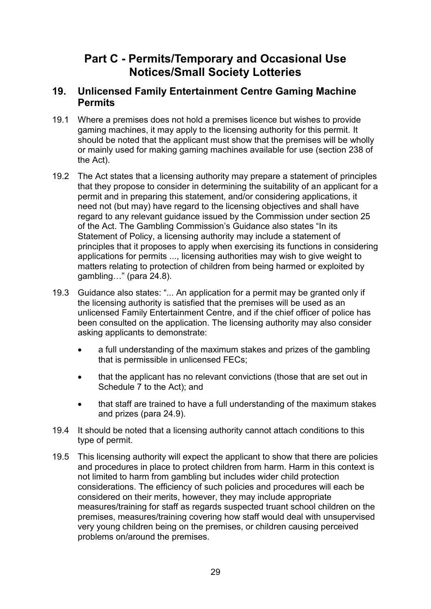## **Part C - Permits/Temporary and Occasional Use Notices/Small Society Lotteries**

### <span id="page-28-1"></span><span id="page-28-0"></span>**19. Unlicensed Family Entertainment Centre Gaming Machine Permits**

- 19.1 Where a premises does not hold a premises licence but wishes to provide gaming machines, it may apply to the licensing authority for this permit. It should be noted that the applicant must show that the premises will be wholly or mainly used for making gaming machines available for use (section 238 of the Act).
- 19.2 The Act states that a licensing authority may prepare a statement of principles that they propose to consider in determining the suitability of an applicant for a permit and in preparing this statement, and/or considering applications, it need not (but may) have regard to the licensing objectives and shall have regard to any relevant guidance issued by the Commission under section 25 of the Act. The Gambling Commission's Guidance also states "In its Statement of Policy, a licensing authority may include a statement of principles that it proposes to apply when exercising its functions in considering applications for permits ..., licensing authorities may wish to give weight to matters relating to protection of children from being harmed or exploited by gambling…" (para 24.8).
- 19.3 Guidance also states: "... An application for a permit may be granted only if the licensing authority is satisfied that the premises will be used as an unlicensed Family Entertainment Centre, and if the chief officer of police has been consulted on the application. The licensing authority may also consider asking applicants to demonstrate:
	- a full understanding of the maximum stakes and prizes of the gambling that is permissible in unlicensed FECs;
	- that the applicant has no relevant convictions (those that are set out in Schedule 7 to the Act); and
	- that staff are trained to have a full understanding of the maximum stakes and prizes (para 24.9).
- 19.4 It should be noted that a licensing authority cannot attach conditions to this type of permit.
- 19.5 This licensing authority will expect the applicant to show that there are policies and procedures in place to protect children from harm. Harm in this context is not limited to harm from gambling but includes wider child protection considerations. The efficiency of such policies and procedures will each be considered on their merits, however, they may include appropriate measures/training for staff as regards suspected truant school children on the premises, measures/training covering how staff would deal with unsupervised very young children being on the premises, or children causing perceived problems on/around the premises.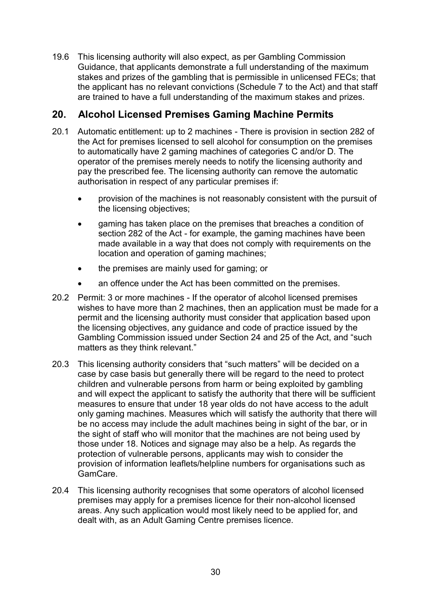19.6 This licensing authority will also expect, as per Gambling Commission Guidance, that applicants demonstrate a full understanding of the maximum stakes and prizes of the gambling that is permissible in unlicensed FECs; that the applicant has no relevant convictions (Schedule 7 to the Act) and that staff are trained to have a full understanding of the maximum stakes and prizes.

## <span id="page-29-0"></span>**20. Alcohol Licensed Premises Gaming Machine Permits**

- 20.1 Automatic entitlement: up to 2 machines There is provision in section 282 of the Act for premises licensed to sell alcohol for consumption on the premises to automatically have 2 gaming machines of categories C and/or D. The operator of the premises merely needs to notify the licensing authority and pay the prescribed fee. The licensing authority can remove the automatic authorisation in respect of any particular premises if:
	- provision of the machines is not reasonably consistent with the pursuit of the licensing objectives;
	- gaming has taken place on the premises that breaches a condition of section 282 of the Act - for example, the gaming machines have been made available in a way that does not comply with requirements on the location and operation of gaming machines;
	- the premises are mainly used for gaming; or
	- an offence under the Act has been committed on the premises.
- 20.2 Permit: 3 or more machines If the operator of alcohol licensed premises wishes to have more than 2 machines, then an application must be made for a permit and the licensing authority must consider that application based upon the licensing objectives, any guidance and code of practice issued by the Gambling Commission issued under Section 24 and 25 of the Act, and "such matters as they think relevant."
- 20.3 This licensing authority considers that "such matters" will be decided on a case by case basis but generally there will be regard to the need to protect children and vulnerable persons from harm or being exploited by gambling and will expect the applicant to satisfy the authority that there will be sufficient measures to ensure that under 18 year olds do not have access to the adult only gaming machines. Measures which will satisfy the authority that there will be no access may include the adult machines being in sight of the bar, or in the sight of staff who will monitor that the machines are not being used by those under 18. Notices and signage may also be a help. As regards the protection of vulnerable persons, applicants may wish to consider the provision of information leaflets/helpline numbers for organisations such as GamCare.
- 20.4 This licensing authority recognises that some operators of alcohol licensed premises may apply for a premises licence for their non-alcohol licensed areas. Any such application would most likely need to be applied for, and dealt with, as an Adult Gaming Centre premises licence.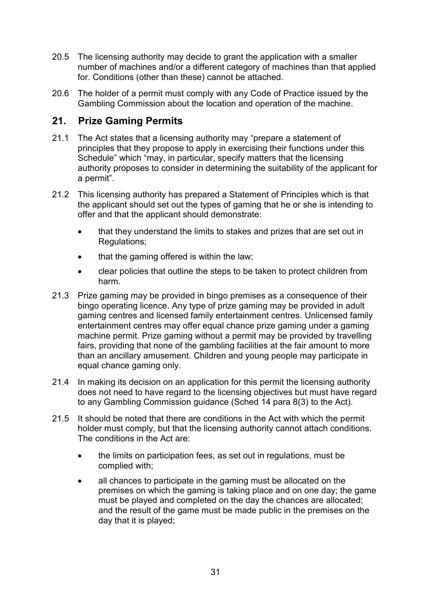- 20.5 The licensing authority may decide to grant the application with a smaller number of machines and/or a different category of machines than that applied for. Conditions (other than these) cannot be attached.
- 20.6 The holder of a permit must comply with any Code of Practice issued by the Gambling Commission about the location and operation of the machine.

## <span id="page-30-0"></span>**21. Prize Gaming Permits**

- 21.1 The Act states that a licensing authority may "prepare a statement of principles that they propose to apply in exercising their functions under this Schedule" which "may, in particular, specify matters that the licensing authority proposes to consider in determining the suitability of the applicant for a permit".
- 21.2 This licensing authority has prepared a Statement of Principles which is that the applicant should set out the types of gaming that he or she is intending to offer and that the applicant should demonstrate:
	- that they understand the limits to stakes and prizes that are set out in Regulations;
	- that the gaming offered is within the law;
	- clear policies that outline the steps to be taken to protect children from harm.
- 21.3 Prize gaming may be provided in bingo premises as a consequence of their bingo operating licence. Any type of prize gaming may be provided in adult gaming centres and licensed family entertainment centres. Unlicensed family entertainment centres may offer equal chance prize gaming under a gaming machine permit. Prize gaming without a permit may be provided by travelling fairs, providing that none of the gambling facilities at the fair amount to more than an ancillary amusement. Children and young people may participate in equal chance gaming only.
- 21.4 In making its decision on an application for this permit the licensing authority does not need to have regard to the licensing objectives but must have regard to any Gambling Commission guidance (Sched 14 para 8(3) to the Act).
- 21.5 It should be noted that there are conditions in the Act with which the permit holder must comply, but that the licensing authority cannot attach conditions. The conditions in the Act are:
	- the limits on participation fees, as set out in regulations, must be complied with;
	- all chances to participate in the gaming must be allocated on the premises on which the gaming is taking place and on one day; the game must be played and completed on the day the chances are allocated; and the result of the game must be made public in the premises on the day that it is played;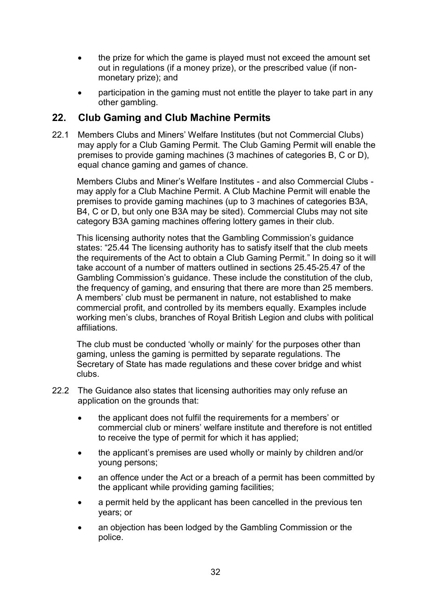- the prize for which the game is played must not exceed the amount set out in regulations (if a money prize), or the prescribed value (if nonmonetary prize); and
- participation in the gaming must not entitle the player to take part in any other gambling.

## <span id="page-31-0"></span>**22. Club Gaming and Club Machine Permits**

22.1 Members Clubs and Miners' Welfare Institutes (but not Commercial Clubs) may apply for a Club Gaming Permit. The Club Gaming Permit will enable the premises to provide gaming machines (3 machines of categories B, C or D), equal chance gaming and games of chance.

Members Clubs and Miner's Welfare Institutes - and also Commercial Clubs may apply for a Club Machine Permit. A Club Machine Permit will enable the premises to provide gaming machines (up to 3 machines of categories B3A, B4, C or D, but only one B3A may be sited). Commercial Clubs may not site category B3A gaming machines offering lottery games in their club.

This licensing authority notes that the Gambling Commission's guidance states: "25.44 The licensing authority has to satisfy itself that the club meets the requirements of the Act to obtain a Club Gaming Permit." In doing so it will take account of a number of matters outlined in sections 25.45-25.47 of the Gambling Commission's guidance. These include the constitution of the club, the frequency of gaming, and ensuring that there are more than 25 members. A members' club must be permanent in nature, not established to make commercial profit, and controlled by its members equally. Examples include working men's clubs, branches of Royal British Legion and clubs with political affiliations.

The club must be conducted 'wholly or mainly' for the purposes other than gaming, unless the gaming is permitted by separate regulations. The Secretary of State has made regulations and these cover bridge and whist clubs.

- 22.2 The Guidance also states that licensing authorities may only refuse an application on the grounds that:
	- the applicant does not fulfil the requirements for a members' or commercial club or miners' welfare institute and therefore is not entitled to receive the type of permit for which it has applied;
	- the applicant's premises are used wholly or mainly by children and/or young persons;
	- an offence under the Act or a breach of a permit has been committed by the applicant while providing gaming facilities;
	- a permit held by the applicant has been cancelled in the previous ten years; or
	- an objection has been lodged by the Gambling Commission or the police.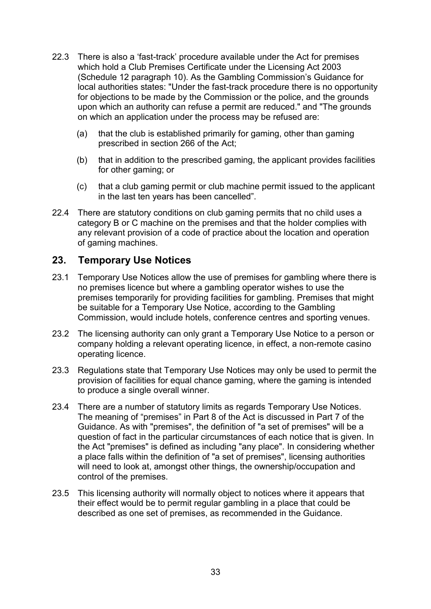- 22.3 There is also a 'fast-track' procedure available under the Act for premises which hold a Club Premises Certificate under the Licensing Act 2003 (Schedule 12 paragraph 10). As the Gambling Commission's Guidance for local authorities states: "Under the fast-track procedure there is no opportunity for objections to be made by the Commission or the police, and the grounds upon which an authority can refuse a permit are reduced." and "The grounds on which an application under the process may be refused are:
	- (a) that the club is established primarily for gaming, other than gaming prescribed in section 266 of the Act;
	- (b) that in addition to the prescribed gaming, the applicant provides facilities for other gaming; or
	- (c) that a club gaming permit or club machine permit issued to the applicant in the last ten years has been cancelled".
- 22.4 There are statutory conditions on club gaming permits that no child uses a category B or C machine on the premises and that the holder complies with any relevant provision of a code of practice about the location and operation of gaming machines.

### <span id="page-32-0"></span>**23. Temporary Use Notices**

- 23.1 Temporary Use Notices allow the use of premises for gambling where there is no premises licence but where a gambling operator wishes to use the premises temporarily for providing facilities for gambling. Premises that might be suitable for a Temporary Use Notice, according to the Gambling Commission, would include hotels, conference centres and sporting venues.
- 23.2 The licensing authority can only grant a Temporary Use Notice to a person or company holding a relevant operating licence, in effect, a non-remote casino operating licence.
- 23.3 Regulations state that Temporary Use Notices may only be used to permit the provision of facilities for equal chance gaming, where the gaming is intended to produce a single overall winner.
- 23.4 There are a number of statutory limits as regards Temporary Use Notices. The meaning of "premises" in Part 8 of the Act is discussed in Part 7 of the Guidance. As with "premises", the definition of "a set of premises" will be a question of fact in the particular circumstances of each notice that is given. In the Act "premises" is defined as including "any place". In considering whether a place falls within the definition of "a set of premises", licensing authorities will need to look at, amongst other things, the ownership/occupation and control of the premises.
- 23.5 This licensing authority will normally object to notices where it appears that their effect would be to permit regular gambling in a place that could be described as one set of premises, as recommended in the Guidance.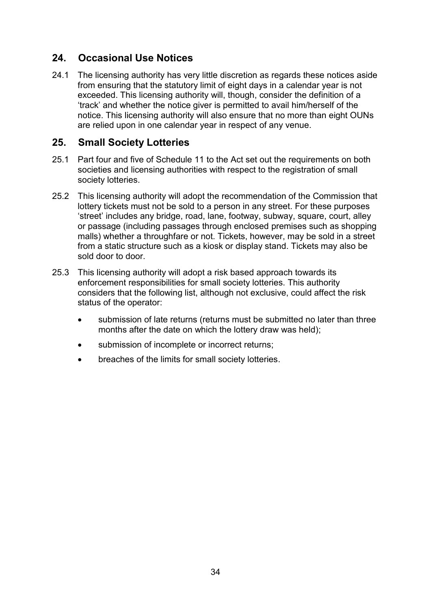## <span id="page-33-0"></span>**24. Occasional Use Notices**

24.1 The licensing authority has very little discretion as regards these notices aside from ensuring that the statutory limit of eight days in a calendar year is not exceeded. This licensing authority will, though, consider the definition of a 'track' and whether the notice giver is permitted to avail him/herself of the notice. This licensing authority will also ensure that no more than eight OUNs are relied upon in one calendar year in respect of any venue.

### <span id="page-33-1"></span>**25. Small Society Lotteries**

- 25.1 Part four and five of Schedule 11 to the Act set out the requirements on both societies and licensing authorities with respect to the registration of small society lotteries.
- 25.2 This licensing authority will adopt the recommendation of the Commission that lottery tickets must not be sold to a person in any street. For these purposes 'street' includes any bridge, road, lane, footway, subway, square, court, alley or passage (including passages through enclosed premises such as shopping malls) whether a throughfare or not. Tickets, however, may be sold in a street from a static structure such as a kiosk or display stand. Tickets may also be sold door to door.
- 25.3 This licensing authority will adopt a risk based approach towards its enforcement responsibilities for small society lotteries. This authority considers that the following list, although not exclusive, could affect the risk status of the operator:
	- submission of late returns (returns must be submitted no later than three months after the date on which the lottery draw was held);
	- submission of incomplete or incorrect returns;
	- breaches of the limits for small society lotteries.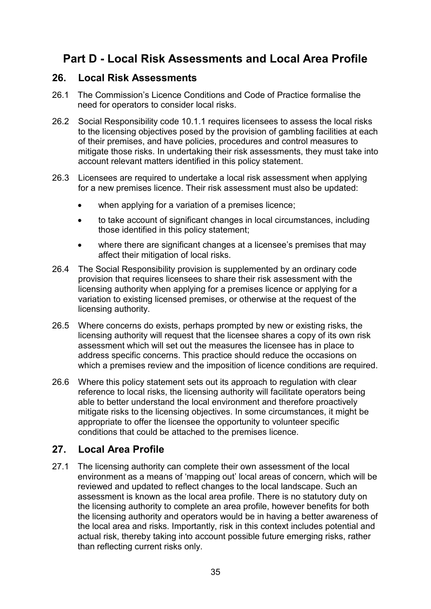## <span id="page-34-0"></span>**Part D - Local Risk Assessments and Local Area Profile**

#### <span id="page-34-1"></span>**26. Local Risk Assessments**

- 26.1 The Commission's Licence Conditions and Code of Practice formalise the need for operators to consider local risks.
- 26.2 Social Responsibility code 10.1.1 requires licensees to assess the local risks to the licensing objectives posed by the provision of gambling facilities at each of their premises, and have policies, procedures and control measures to mitigate those risks. In undertaking their risk assessments, they must take into account relevant matters identified in this policy statement.
- 26.3 Licensees are required to undertake a local risk assessment when applying for a new premises licence. Their risk assessment must also be updated:
	- when applying for a variation of a premises licence;
	- to take account of significant changes in local circumstances, including those identified in this policy statement;
	- where there are significant changes at a licensee's premises that may affect their mitigation of local risks.
- 26.4 The Social Responsibility provision is supplemented by an ordinary code provision that requires licensees to share their risk assessment with the licensing authority when applying for a premises licence or applying for a variation to existing licensed premises, or otherwise at the request of the licensing authority.
- 26.5 Where concerns do exists, perhaps prompted by new or existing risks, the licensing authority will request that the licensee shares a copy of its own risk assessment which will set out the measures the licensee has in place to address specific concerns. This practice should reduce the occasions on which a premises review and the imposition of licence conditions are required.
- 26.6 Where this policy statement sets out its approach to regulation with clear reference to local risks, the licensing authority will facilitate operators being able to better understand the local environment and therefore proactively mitigate risks to the licensing objectives. In some circumstances, it might be appropriate to offer the licensee the opportunity to volunteer specific conditions that could be attached to the premises licence.

## <span id="page-34-2"></span>**27. Local Area Profile**

27.1 The licensing authority can complete their own assessment of the local environment as a means of 'mapping out' local areas of concern, which will be reviewed and updated to reflect changes to the local landscape. Such an assessment is known as the local area profile. There is no statutory duty on the licensing authority to complete an area profile, however benefits for both the licensing authority and operators would be in having a better awareness of the local area and risks. Importantly, risk in this context includes potential and actual risk, thereby taking into account possible future emerging risks, rather than reflecting current risks only.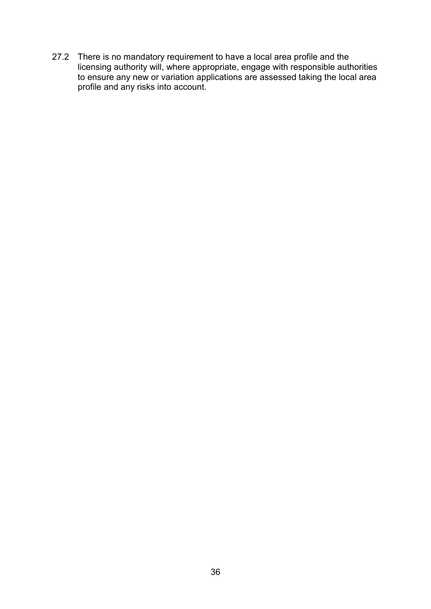27.2 There is no mandatory requirement to have a local area profile and the licensing authority will, where appropriate, engage with responsible authorities to ensure any new or variation applications are assessed taking the local area profile and any risks into account.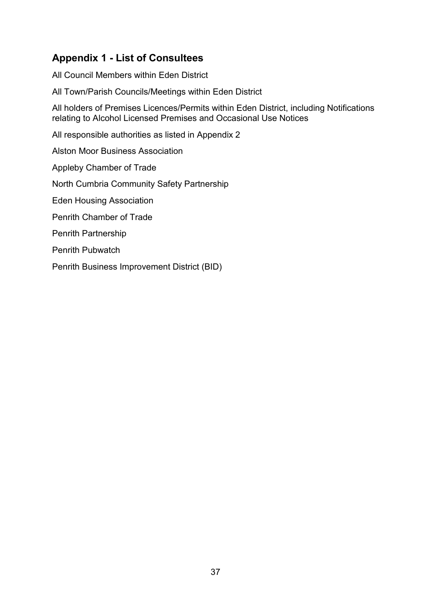## <span id="page-36-0"></span>**Appendix 1 - List of Consultees**

All Council Members within Eden District

All Town/Parish Councils/Meetings within Eden District

All holders of Premises Licences/Permits within Eden District, including Notifications relating to Alcohol Licensed Premises and Occasional Use Notices

All responsible authorities as listed in Appendix 2

Alston Moor Business Association

Appleby Chamber of Trade

North Cumbria Community Safety Partnership

Eden Housing Association

Penrith Chamber of Trade

Penrith Partnership

Penrith Pubwatch

Penrith Business Improvement District (BID)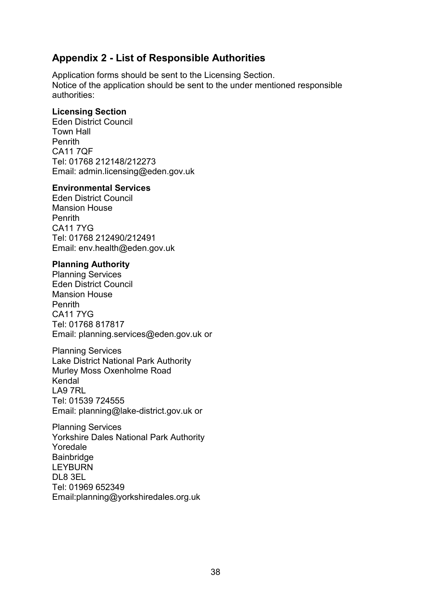## <span id="page-37-0"></span>**Appendix 2 - List of Responsible Authorities**

Application forms should be sent to the Licensing Section. Notice of the application should be sent to the under mentioned responsible authorities:

#### **Licensing Section**

Eden District Council Town Hall **Penrith** CA11 7QF Tel: 01768 212148/212273 Email: admin.licensing@eden.gov.uk

#### **Environmental Services**

Eden District Council Mansion House Penrith CA11 7YG Tel: 01768 212490/212491 Email: env.health@eden.gov.uk

#### **Planning Authority**

Planning Services Eden District Council Mansion House Penrith CA11 7YG Tel: 01768 817817 Email: planning.services@eden.gov.uk or

Planning Services Lake District National Park Authority Murley Moss Oxenholme Road Kendal LA9 7RL Tel: 01539 724555 Email: planning@lake-district.gov.uk or

Planning Services Yorkshire Dales National Park Authority Yoredale Bainbridge LEYBURN DL8 3EL Tel: 01969 652349 Email:planning@yorkshiredales.org.uk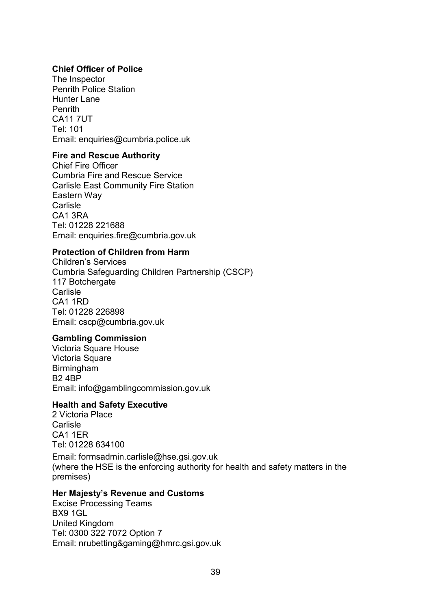#### **Chief Officer of Police**

The Inspector Penrith Police Station Hunter Lane Penrith CA11 7UT Tel: 101 Email: enquiries@cumbria.police.uk

#### **Fire and Rescue Authority**

Chief Fire Officer Cumbria Fire and Rescue Service Carlisle East Community Fire Station Eastern Way **Carlisle** CA1 3RA Tel: 01228 221688 Email: enquiries.fire@cumbria.gov.uk

#### **Protection of Children from Harm**

Children's Services Cumbria Safeguarding Children Partnership (CSCP) 117 Botchergate **Carlisle** CA1 1RD Tel: 01228 226898 Email: cscp@cumbria.gov.uk

#### **Gambling Commission**

Victoria Square House Victoria Square **Birmingham** B2 4BP Email: info@gamblingcommission.gov.uk

#### **Health and Safety Executive**

2 Victoria Place Carlisle CA1 1ER Tel: 01228 634100 Email: formsadmin.carlisle@hse.gsi.gov.uk (where the HSE is the enforcing authority for health and safety matters in the premises)

#### **Her Majesty's Revenue and Customs**

Excise Processing Teams BX9 1GL United Kingdom Tel: 0300 322 7072 Option 7 Email: nrubetting&gaming@hmrc.gsi.gov.uk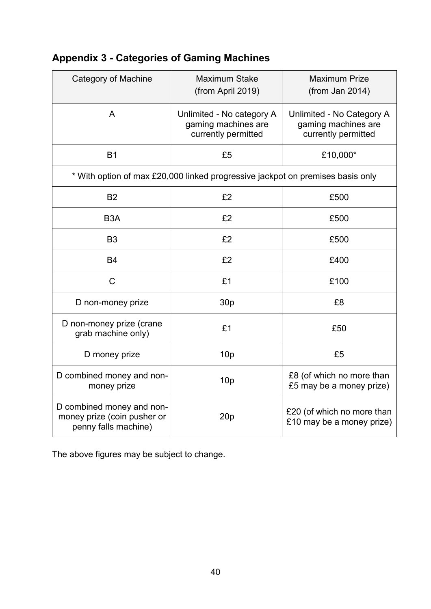| Category of Machine                                                              | <b>Maximum Stake</b><br>(from April 2019)                               | <b>Maximum Prize</b><br>(from Jan 2014)                                 |  |  |  |  |  |  |
|----------------------------------------------------------------------------------|-------------------------------------------------------------------------|-------------------------------------------------------------------------|--|--|--|--|--|--|
| $\mathsf{A}$                                                                     | Unlimited - No category A<br>gaming machines are<br>currently permitted | Unlimited - No Category A<br>gaming machines are<br>currently permitted |  |  |  |  |  |  |
| <b>B1</b>                                                                        | £5                                                                      | £10,000*                                                                |  |  |  |  |  |  |
| * With option of max £20,000 linked progressive jackpot on premises basis only   |                                                                         |                                                                         |  |  |  |  |  |  |
| <b>B2</b>                                                                        | £2                                                                      | £500                                                                    |  |  |  |  |  |  |
| B <sub>3</sub> A                                                                 | £2                                                                      | £500                                                                    |  |  |  |  |  |  |
| B <sub>3</sub>                                                                   | £2                                                                      | £500                                                                    |  |  |  |  |  |  |
| <b>B4</b>                                                                        | £2                                                                      | £400                                                                    |  |  |  |  |  |  |
| $\mathsf{C}$                                                                     | £1                                                                      | £100                                                                    |  |  |  |  |  |  |
| D non-money prize                                                                | 30 <sub>p</sub>                                                         | £8                                                                      |  |  |  |  |  |  |
| D non-money prize (crane<br>grab machine only)                                   | £1                                                                      | £50                                                                     |  |  |  |  |  |  |
| D money prize                                                                    | 10 <sub>p</sub>                                                         | £5                                                                      |  |  |  |  |  |  |
| D combined money and non-<br>money prize                                         | 10 <sub>p</sub>                                                         | £8 (of which no more than<br>£5 may be a money prize)                   |  |  |  |  |  |  |
| D combined money and non-<br>money prize (coin pusher or<br>penny falls machine) | 20p                                                                     | £20 (of which no more than<br>£10 may be a money prize)                 |  |  |  |  |  |  |

## <span id="page-39-0"></span>**Appendix 3 - Categories of Gaming Machines**

The above figures may be subject to change.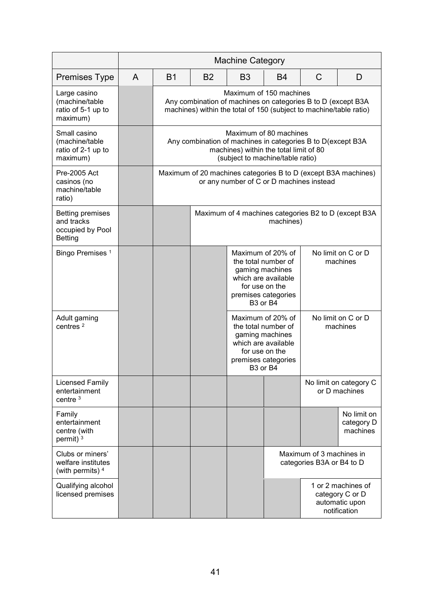|                                                                             | <b>Machine Category</b> |                                                                                                                                                                     |                                                                   |                                                                                                                                                                 |                                                                                                                                                                 |              |                                                                         |
|-----------------------------------------------------------------------------|-------------------------|---------------------------------------------------------------------------------------------------------------------------------------------------------------------|-------------------------------------------------------------------|-----------------------------------------------------------------------------------------------------------------------------------------------------------------|-----------------------------------------------------------------------------------------------------------------------------------------------------------------|--------------|-------------------------------------------------------------------------|
| <b>Premises Type</b>                                                        | A                       | B1                                                                                                                                                                  | <b>B2</b>                                                         | B <sub>3</sub>                                                                                                                                                  | B4                                                                                                                                                              | $\mathsf{C}$ | D                                                                       |
| Large casino<br>(machine/table<br>ratio of 5-1 up to<br>maximum)            |                         | Maximum of 150 machines<br>Any combination of machines on categories B to D (except B3A<br>machines) within the total of 150 (subject to machine/table ratio)       |                                                                   |                                                                                                                                                                 |                                                                                                                                                                 |              |                                                                         |
| Small casino<br>(machine/table<br>ratio of 2-1 up to<br>maximum)            |                         | Maximum of 80 machines<br>Any combination of machines in categories B to D(except B3A<br>machines) within the total limit of 80<br>(subject to machine/table ratio) |                                                                   |                                                                                                                                                                 |                                                                                                                                                                 |              |                                                                         |
| <b>Pre-2005 Act</b><br>casinos (no<br>machine/table<br>ratio)               |                         | Maximum of 20 machines categories B to D (except B3A machines)<br>or any number of C or D machines instead                                                          |                                                                   |                                                                                                                                                                 |                                                                                                                                                                 |              |                                                                         |
| <b>Betting premises</b><br>and tracks<br>occupied by Pool<br><b>Betting</b> |                         |                                                                                                                                                                     | Maximum of 4 machines categories B2 to D (except B3A<br>machines) |                                                                                                                                                                 |                                                                                                                                                                 |              |                                                                         |
| Bingo Premises <sup>1</sup>                                                 |                         |                                                                                                                                                                     |                                                                   |                                                                                                                                                                 | Maximum of 20% of<br>the total number of<br>gaming machines<br>which are available<br>for use on the<br>premises categories<br>B <sub>3</sub> or B <sub>4</sub> |              | No limit on C or D<br>machines                                          |
| Adult gaming<br>centres $2$                                                 |                         |                                                                                                                                                                     |                                                                   | Maximum of 20% of<br>the total number of<br>gaming machines<br>which are available<br>for use on the<br>premises categories<br>B <sub>3</sub> or B <sub>4</sub> |                                                                                                                                                                 |              | No limit on C or D<br>machines                                          |
| <b>Licensed Family</b><br>entertainment<br>centre $3$                       |                         |                                                                                                                                                                     |                                                                   |                                                                                                                                                                 |                                                                                                                                                                 |              | No limit on category C<br>or D machines                                 |
| Family<br>entertainment<br>centre (with<br>permit) <sup>3</sup>             |                         |                                                                                                                                                                     |                                                                   |                                                                                                                                                                 |                                                                                                                                                                 |              | No limit on<br>category D<br>machines                                   |
| Clubs or miners'<br>welfare institutes<br>(with permits) 4                  |                         |                                                                                                                                                                     |                                                                   |                                                                                                                                                                 | Maximum of 3 machines in<br>categories B3A or B4 to D                                                                                                           |              |                                                                         |
| Qualifying alcohol<br>licensed premises                                     |                         |                                                                                                                                                                     |                                                                   |                                                                                                                                                                 |                                                                                                                                                                 |              | 1 or 2 machines of<br>category C or D<br>automatic upon<br>notification |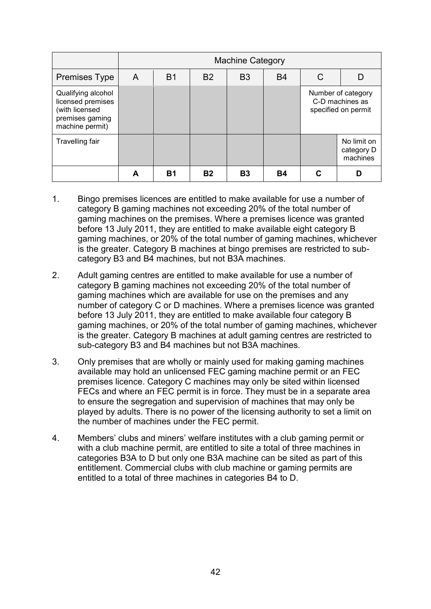|                                                                                                 | <b>Machine Category</b> |           |           |           |           |                                                              |                                       |
|-------------------------------------------------------------------------------------------------|-------------------------|-----------|-----------|-----------|-----------|--------------------------------------------------------------|---------------------------------------|
| <b>Premises Type</b>                                                                            | A                       | <b>B1</b> | <b>B2</b> | <b>B3</b> | <b>B4</b> |                                                              | D                                     |
| Qualifying alcohol<br>licensed premises<br>(with licensed<br>premises gaming<br>machine permit) |                         |           |           |           |           | Number of category<br>C-D machines as<br>specified on permit |                                       |
| Travelling fair                                                                                 |                         |           |           |           |           |                                                              | No limit on<br>category D<br>machines |
|                                                                                                 |                         | <b>B1</b> | <b>B2</b> | <b>B3</b> | Β4        |                                                              |                                       |

- 1. Bingo premises licences are entitled to make available for use a number of category B gaming machines not exceeding 20% of the total number of gaming machines on the premises. Where a premises licence was granted before 13 July 2011, they are entitled to make available eight category B gaming machines, or 20% of the total number of gaming machines, whichever is the greater. Category B machines at bingo premises are restricted to subcategory B3 and B4 machines, but not B3A machines.
- 2. Adult gaming centres are entitled to make available for use a number of category B gaming machines not exceeding 20% of the total number of gaming machines which are available for use on the premises and any number of category C or D machines. Where a premises licence was granted before 13 July 2011, they are entitled to make available four category B gaming machines, or 20% of the total number of gaming machines, whichever is the greater. Category B machines at adult gaming centres are restricted to sub-category B3 and B4 machines but not B3A machines.
- 3. Only premises that are wholly or mainly used for making gaming machines available may hold an unlicensed FEC gaming machine permit or an FEC premises licence. Category C machines may only be sited within licensed FECs and where an FEC permit is in force. They must be in a separate area to ensure the segregation and supervision of machines that may only be played by adults. There is no power of the licensing authority to set a limit on the number of machines under the FEC permit.
- 4. Members' clubs and miners' welfare institutes with a club gaming permit or with a club machine permit, are entitled to site a total of three machines in categories B3A to D but only one B3A machine can be sited as part of this entitlement. Commercial clubs with club machine or gaming permits are entitled to a total of three machines in categories B4 to D.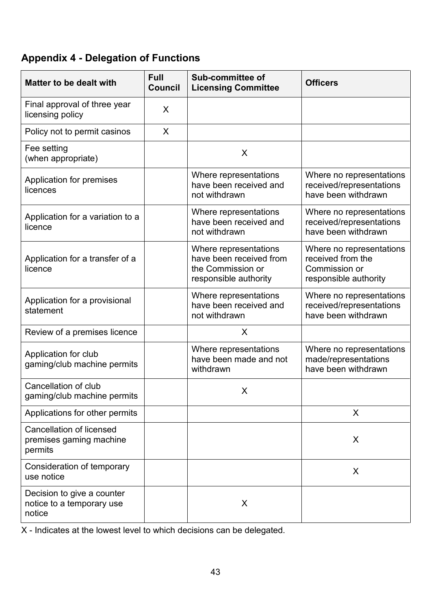## <span id="page-42-0"></span>**Appendix 4 - Delegation of Functions**

| <b>Matter to be dealt with</b>                                        | <b>Full</b><br><b>Council</b> | Sub-committee of<br><b>Licensing Committee</b>                                                 | <b>Officers</b>                                                                         |  |
|-----------------------------------------------------------------------|-------------------------------|------------------------------------------------------------------------------------------------|-----------------------------------------------------------------------------------------|--|
| Final approval of three year<br>licensing policy                      | X                             |                                                                                                |                                                                                         |  |
| Policy not to permit casinos                                          | X                             |                                                                                                |                                                                                         |  |
| Fee setting<br>(when appropriate)                                     |                               | X                                                                                              |                                                                                         |  |
| Application for premises<br>licences                                  |                               | Where representations<br>have been received and<br>not withdrawn                               | Where no representations<br>received/representations<br>have been withdrawn             |  |
| Application for a variation to a<br>licence                           |                               | Where representations<br>have been received and<br>not withdrawn                               | Where no representations<br>received/representations<br>have been withdrawn             |  |
| Application for a transfer of a<br>licence                            |                               | Where representations<br>have been received from<br>the Commission or<br>responsible authority | Where no representations<br>received from the<br>Commission or<br>responsible authority |  |
| Application for a provisional<br>statement                            |                               | Where representations<br>have been received and<br>not withdrawn                               | Where no representations<br>received/representations<br>have been withdrawn             |  |
| Review of a premises licence                                          |                               | X                                                                                              |                                                                                         |  |
| Application for club<br>gaming/club machine permits                   |                               | Where representations<br>have been made and not<br>withdrawn                                   | Where no representations<br>made/representations<br>have been withdrawn                 |  |
| Cancellation of club<br>gaming/club machine permits                   |                               | X                                                                                              |                                                                                         |  |
| Applications for other permits                                        |                               |                                                                                                | X                                                                                       |  |
| <b>Cancellation of licensed</b><br>premises gaming machine<br>permits |                               |                                                                                                | X                                                                                       |  |
| Consideration of temporary<br>use notice                              |                               |                                                                                                | X                                                                                       |  |
| Decision to give a counter<br>notice to a temporary use<br>notice     |                               | X                                                                                              |                                                                                         |  |

X - Indicates at the lowest level to which decisions can be delegated.